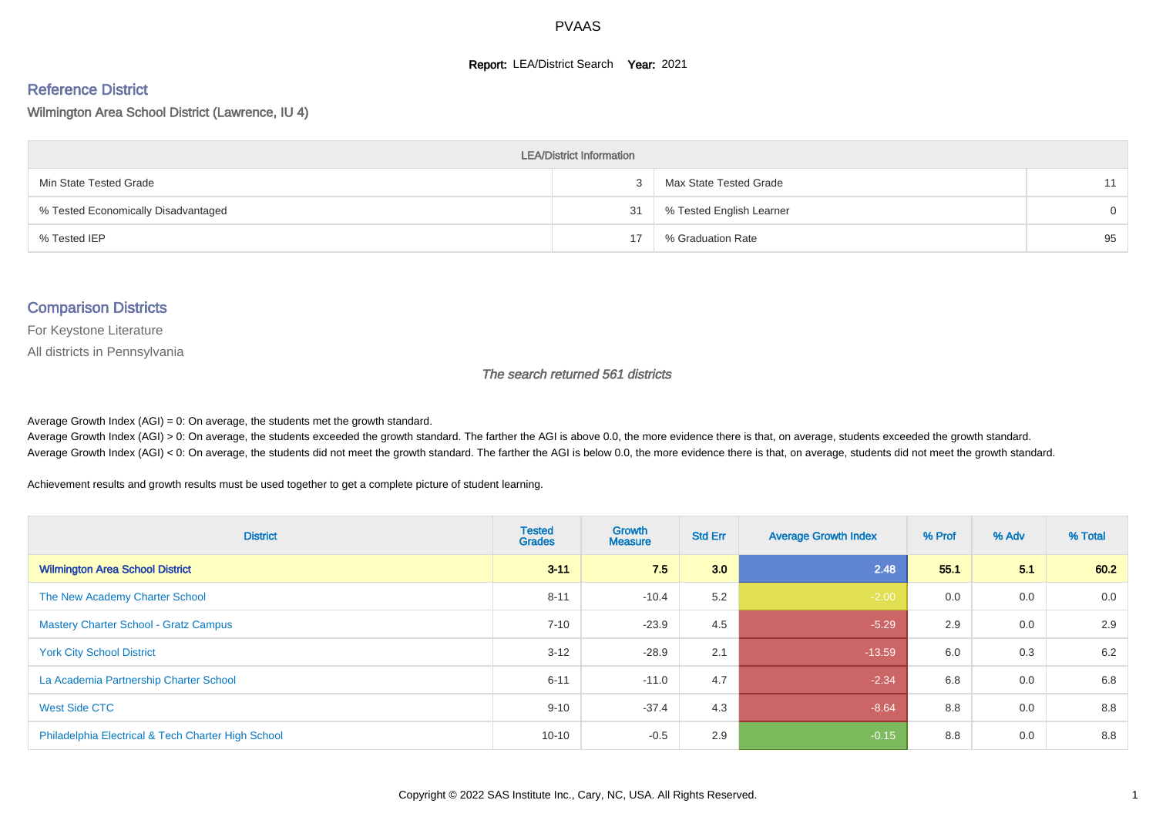#### **Report: LEA/District Search Year: 2021**

# Reference District

Wilmington Area School District (Lawrence, IU 4)

| <b>LEA/District Information</b>     |    |                          |          |  |  |  |  |  |  |  |
|-------------------------------------|----|--------------------------|----------|--|--|--|--|--|--|--|
| Min State Tested Grade              |    | Max State Tested Grade   | 11       |  |  |  |  |  |  |  |
| % Tested Economically Disadvantaged | 31 | % Tested English Learner | $\Omega$ |  |  |  |  |  |  |  |
| % Tested IEP                        | 17 | % Graduation Rate        | 95       |  |  |  |  |  |  |  |

#### Comparison Districts

For Keystone Literature

All districts in Pennsylvania

The search returned 561 districts

Average Growth Index  $(AGI) = 0$ : On average, the students met the growth standard.

Average Growth Index (AGI) > 0: On average, the students exceeded the growth standard. The farther the AGI is above 0.0, the more evidence there is that, on average, students exceeded the growth standard. Average Growth Index (AGI) < 0: On average, the students did not meet the growth standard. The farther the AGI is below 0.0, the more evidence there is that, on average, students did not meet the growth standard.

Achievement results and growth results must be used together to get a complete picture of student learning.

| <b>District</b>                                    | <b>Tested</b><br><b>Grades</b> | <b>Growth</b><br><b>Measure</b> | <b>Std Err</b> | <b>Average Growth Index</b> | % Prof | % Adv | % Total |
|----------------------------------------------------|--------------------------------|---------------------------------|----------------|-----------------------------|--------|-------|---------|
| <b>Wilmington Area School District</b>             | $3 - 11$                       | 7.5                             | 3.0            | 2.48                        | 55.1   | 5.1   | 60.2    |
| The New Academy Charter School                     | $8 - 11$                       | $-10.4$                         | 5.2            | $-2.00$                     | 0.0    | 0.0   | 0.0     |
| <b>Mastery Charter School - Gratz Campus</b>       | $7 - 10$                       | $-23.9$                         | 4.5            | $-5.29$                     | 2.9    | 0.0   | 2.9     |
| <b>York City School District</b>                   | $3 - 12$                       | $-28.9$                         | 2.1            | $-13.59$                    | 6.0    | 0.3   | 6.2     |
| La Academia Partnership Charter School             | $6 - 11$                       | $-11.0$                         | 4.7            | $-2.34$                     | 6.8    | 0.0   | 6.8     |
| West Side CTC                                      | $9 - 10$                       | $-37.4$                         | 4.3            | $-8.64$                     | 8.8    | 0.0   | 8.8     |
| Philadelphia Electrical & Tech Charter High School | $10 - 10$                      | $-0.5$                          | 2.9            | $-0.15$                     | 8.8    | 0.0   | 8.8     |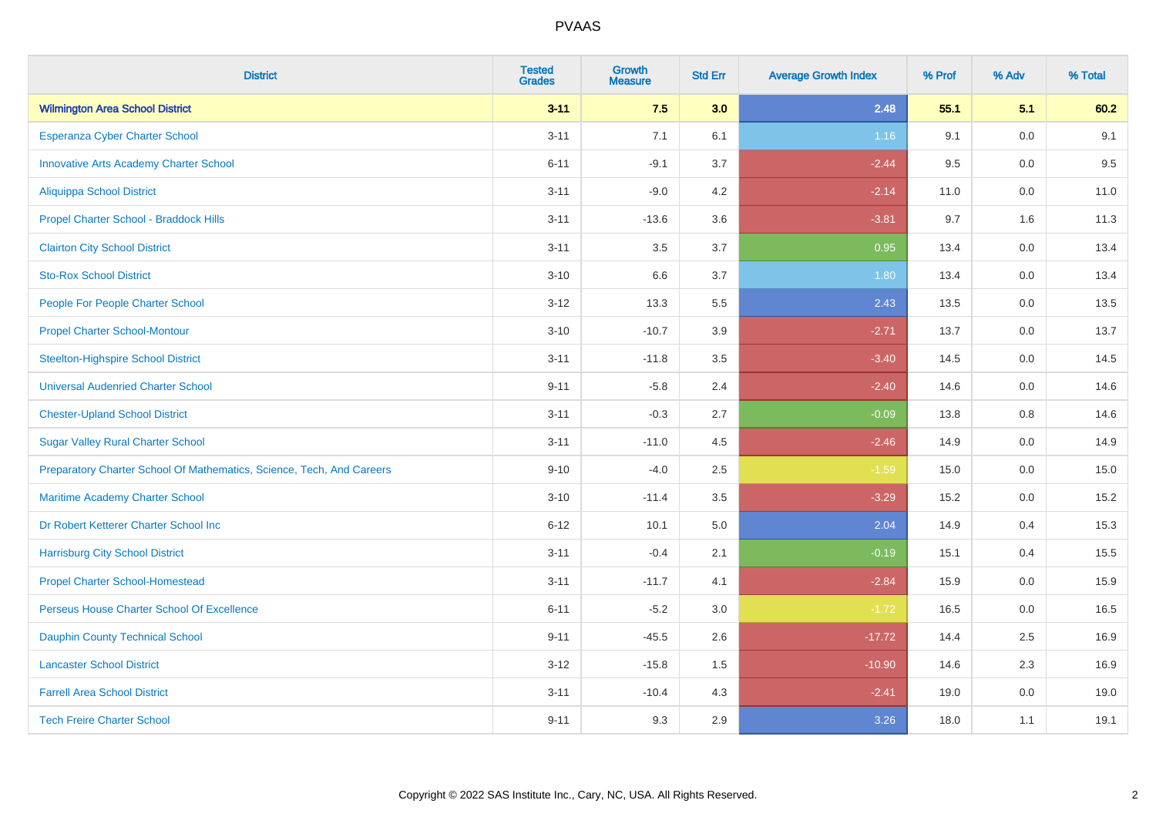| <b>District</b>                                                       | <b>Tested</b><br><b>Grades</b> | <b>Growth</b><br><b>Measure</b> | <b>Std Err</b> | <b>Average Growth Index</b> | % Prof | % Adv   | % Total |
|-----------------------------------------------------------------------|--------------------------------|---------------------------------|----------------|-----------------------------|--------|---------|---------|
| <b>Wilmington Area School District</b>                                | $3 - 11$                       | 7.5                             | 3.0            | 2.48                        | 55.1   | 5.1     | 60.2    |
| Esperanza Cyber Charter School                                        | $3 - 11$                       | 7.1                             | 6.1            | 1.16                        | 9.1    | 0.0     | 9.1     |
| <b>Innovative Arts Academy Charter School</b>                         | $6 - 11$                       | $-9.1$                          | 3.7            | $-2.44$                     | 9.5    | 0.0     | 9.5     |
| Aliquippa School District                                             | $3 - 11$                       | $-9.0$                          | 4.2            | $-2.14$                     | 11.0   | $0.0\,$ | 11.0    |
| Propel Charter School - Braddock Hills                                | $3 - 11$                       | $-13.6$                         | 3.6            | $-3.81$                     | 9.7    | 1.6     | 11.3    |
| <b>Clairton City School District</b>                                  | $3 - 11$                       | 3.5                             | 3.7            | 0.95                        | 13.4   | 0.0     | 13.4    |
| <b>Sto-Rox School District</b>                                        | $3 - 10$                       | 6.6                             | 3.7            | 1.80                        | 13.4   | 0.0     | 13.4    |
| People For People Charter School                                      | $3 - 12$                       | 13.3                            | 5.5            | 2.43                        | 13.5   | 0.0     | 13.5    |
| <b>Propel Charter School-Montour</b>                                  | $3 - 10$                       | $-10.7$                         | 3.9            | $-2.71$                     | 13.7   | 0.0     | 13.7    |
| <b>Steelton-Highspire School District</b>                             | $3 - 11$                       | $-11.8$                         | 3.5            | $-3.40$                     | 14.5   | 0.0     | 14.5    |
| <b>Universal Audenried Charter School</b>                             | $9 - 11$                       | $-5.8$                          | 2.4            | $-2.40$                     | 14.6   | 0.0     | 14.6    |
| <b>Chester-Upland School District</b>                                 | $3 - 11$                       | $-0.3$                          | 2.7            | $-0.09$                     | 13.8   | 0.8     | 14.6    |
| <b>Sugar Valley Rural Charter School</b>                              | $3 - 11$                       | $-11.0$                         | 4.5            | $-2.46$                     | 14.9   | $0.0\,$ | 14.9    |
| Preparatory Charter School Of Mathematics, Science, Tech, And Careers | $9 - 10$                       | $-4.0$                          | 2.5            | $-1.59$                     | 15.0   | 0.0     | 15.0    |
| Maritime Academy Charter School                                       | $3 - 10$                       | $-11.4$                         | 3.5            | $-3.29$                     | 15.2   | 0.0     | 15.2    |
| Dr Robert Ketterer Charter School Inc                                 | $6 - 12$                       | 10.1                            | 5.0            | 2.04                        | 14.9   | 0.4     | 15.3    |
| <b>Harrisburg City School District</b>                                | $3 - 11$                       | $-0.4$                          | 2.1            | $-0.19$                     | 15.1   | 0.4     | 15.5    |
| <b>Propel Charter School-Homestead</b>                                | $3 - 11$                       | $-11.7$                         | 4.1            | $-2.84$                     | 15.9   | 0.0     | 15.9    |
| Perseus House Charter School Of Excellence                            | $6 - 11$                       | $-5.2$                          | 3.0            | $-1.72$                     | 16.5   | 0.0     | 16.5    |
| <b>Dauphin County Technical School</b>                                | $9 - 11$                       | $-45.5$                         | 2.6            | $-17.72$                    | 14.4   | 2.5     | 16.9    |
| <b>Lancaster School District</b>                                      | $3 - 12$                       | $-15.8$                         | 1.5            | $-10.90$                    | 14.6   | 2.3     | 16.9    |
| <b>Farrell Area School District</b>                                   | $3 - 11$                       | $-10.4$                         | 4.3            | $-2.41$                     | 19.0   | $0.0\,$ | 19.0    |
| <b>Tech Freire Charter School</b>                                     | $9 - 11$                       | 9.3                             | 2.9            | 3.26                        | 18.0   | 1.1     | 19.1    |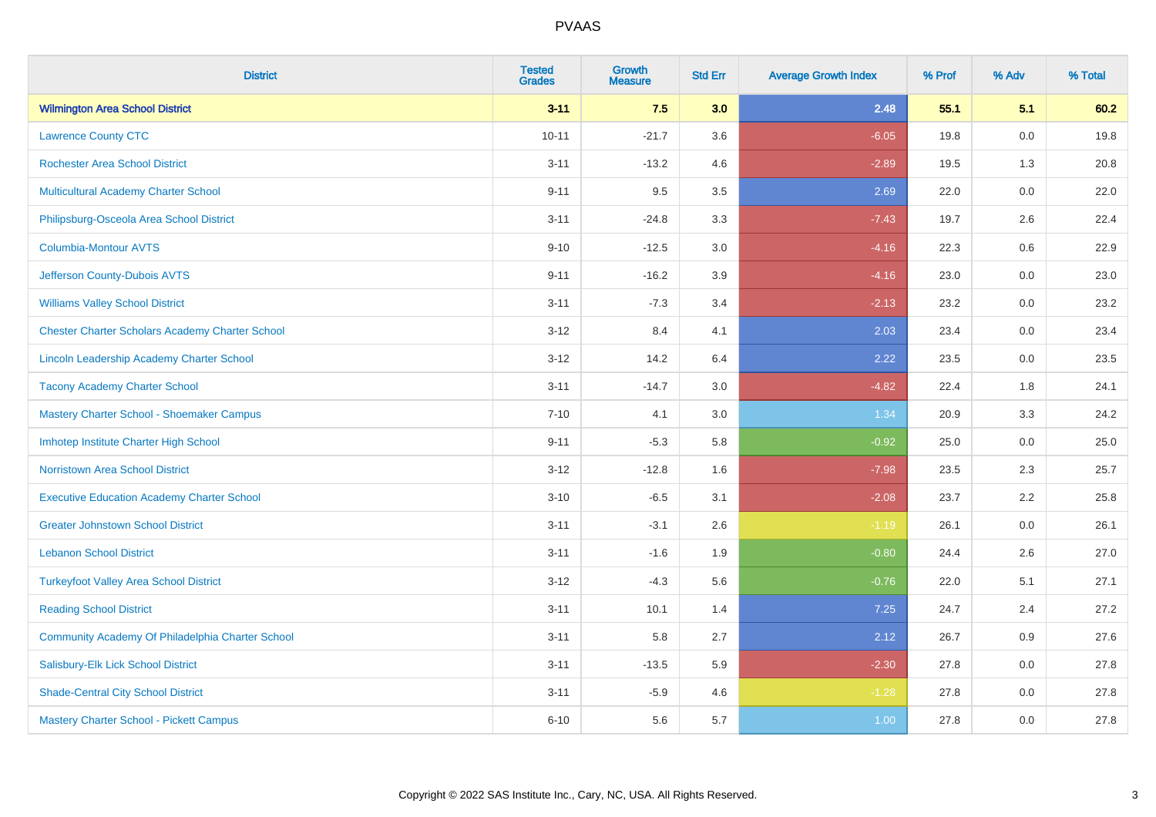| <b>District</b>                                        | <b>Tested</b><br><b>Grades</b> | <b>Growth</b><br><b>Measure</b> | <b>Std Err</b> | <b>Average Growth Index</b> | % Prof | % Adv   | % Total |
|--------------------------------------------------------|--------------------------------|---------------------------------|----------------|-----------------------------|--------|---------|---------|
| <b>Wilmington Area School District</b>                 | $3 - 11$                       | 7.5                             | 3.0            | 2.48                        | 55.1   | 5.1     | 60.2    |
| <b>Lawrence County CTC</b>                             | $10 - 11$                      | $-21.7$                         | 3.6            | $-6.05$                     | 19.8   | 0.0     | 19.8    |
| <b>Rochester Area School District</b>                  | $3 - 11$                       | $-13.2$                         | 4.6            | $-2.89$                     | 19.5   | 1.3     | 20.8    |
| Multicultural Academy Charter School                   | $9 - 11$                       | 9.5                             | 3.5            | 2.69                        | 22.0   | 0.0     | 22.0    |
| Philipsburg-Osceola Area School District               | $3 - 11$                       | $-24.8$                         | 3.3            | $-7.43$                     | 19.7   | 2.6     | 22.4    |
| <b>Columbia-Montour AVTS</b>                           | $9 - 10$                       | $-12.5$                         | 3.0            | $-4.16$                     | 22.3   | 0.6     | 22.9    |
| Jefferson County-Dubois AVTS                           | $9 - 11$                       | $-16.2$                         | 3.9            | $-4.16$                     | 23.0   | 0.0     | 23.0    |
| <b>Williams Valley School District</b>                 | $3 - 11$                       | $-7.3$                          | 3.4            | $-2.13$                     | 23.2   | 0.0     | 23.2    |
| <b>Chester Charter Scholars Academy Charter School</b> | $3 - 12$                       | 8.4                             | 4.1            | 2.03                        | 23.4   | 0.0     | 23.4    |
| <b>Lincoln Leadership Academy Charter School</b>       | $3 - 12$                       | 14.2                            | 6.4            | 2.22                        | 23.5   | 0.0     | 23.5    |
| <b>Tacony Academy Charter School</b>                   | $3 - 11$                       | $-14.7$                         | 3.0            | $-4.82$                     | 22.4   | 1.8     | 24.1    |
| Mastery Charter School - Shoemaker Campus              | $7 - 10$                       | 4.1                             | 3.0            | 1.34                        | 20.9   | 3.3     | 24.2    |
| Imhotep Institute Charter High School                  | $9 - 11$                       | $-5.3$                          | 5.8            | $-0.92$                     | 25.0   | $0.0\,$ | 25.0    |
| <b>Norristown Area School District</b>                 | $3 - 12$                       | $-12.8$                         | 1.6            | $-7.98$                     | 23.5   | 2.3     | 25.7    |
| <b>Executive Education Academy Charter School</b>      | $3 - 10$                       | $-6.5$                          | 3.1            | $-2.08$                     | 23.7   | 2.2     | 25.8    |
| <b>Greater Johnstown School District</b>               | $3 - 11$                       | $-3.1$                          | 2.6            | $-1.19$                     | 26.1   | $0.0\,$ | 26.1    |
| <b>Lebanon School District</b>                         | $3 - 11$                       | $-1.6$                          | 1.9            | $-0.80$                     | 24.4   | 2.6     | 27.0    |
| <b>Turkeyfoot Valley Area School District</b>          | $3 - 12$                       | $-4.3$                          | 5.6            | $-0.76$                     | 22.0   | 5.1     | 27.1    |
| <b>Reading School District</b>                         | $3 - 11$                       | 10.1                            | 1.4            | 7.25                        | 24.7   | 2.4     | 27.2    |
| Community Academy Of Philadelphia Charter School       | $3 - 11$                       | 5.8                             | 2.7            | 2.12                        | 26.7   | 0.9     | 27.6    |
| Salisbury-Elk Lick School District                     | $3 - 11$                       | $-13.5$                         | 5.9            | $-2.30$                     | 27.8   | 0.0     | 27.8    |
| <b>Shade-Central City School District</b>              | $3 - 11$                       | $-5.9$                          | 4.6            | $-1.28$                     | 27.8   | 0.0     | 27.8    |
| <b>Mastery Charter School - Pickett Campus</b>         | $6 - 10$                       | 5.6                             | 5.7            | 1.00                        | 27.8   | 0.0     | 27.8    |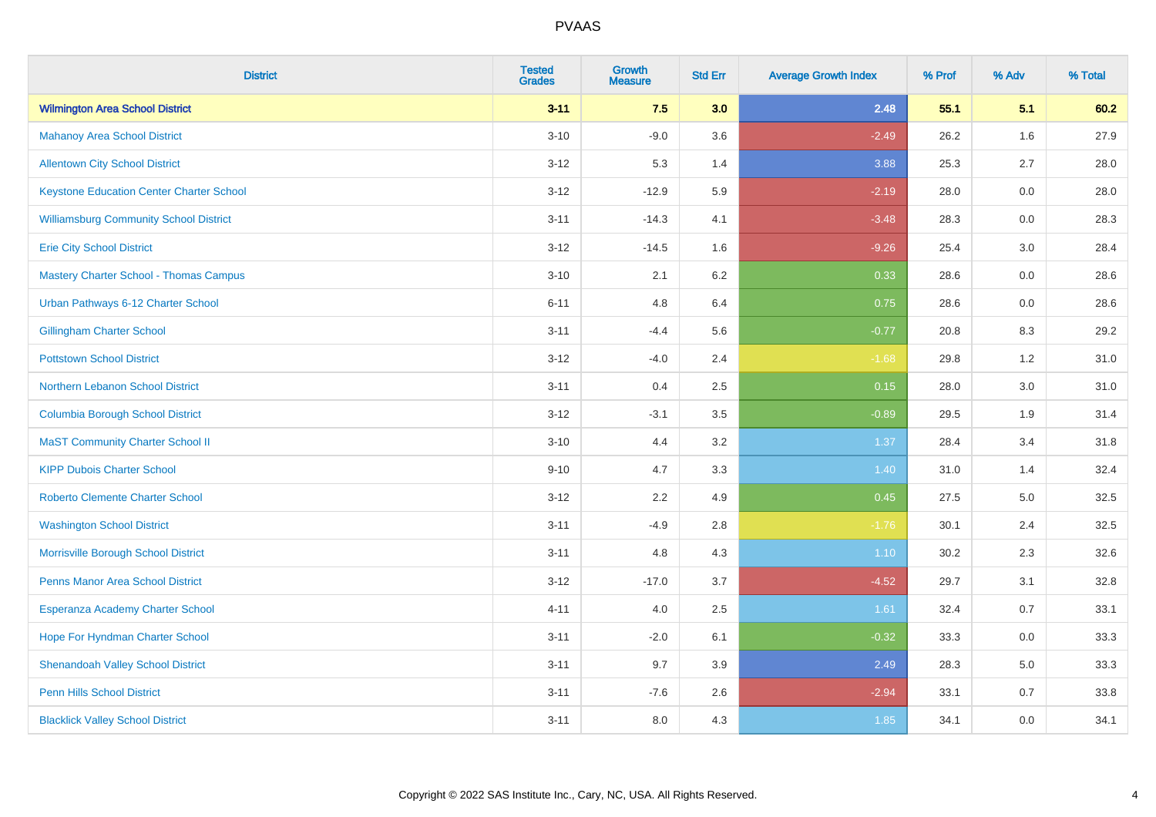| <b>District</b>                                 | <b>Tested</b><br><b>Grades</b> | <b>Growth</b><br><b>Measure</b> | <b>Std Err</b> | <b>Average Growth Index</b> | % Prof | % Adv | % Total |
|-------------------------------------------------|--------------------------------|---------------------------------|----------------|-----------------------------|--------|-------|---------|
| <b>Wilmington Area School District</b>          | $3 - 11$                       | 7.5                             | 3.0            | 2.48                        | 55.1   | 5.1   | 60.2    |
| <b>Mahanoy Area School District</b>             | $3 - 10$                       | $-9.0$                          | 3.6            | $-2.49$                     | 26.2   | 1.6   | 27.9    |
| <b>Allentown City School District</b>           | $3 - 12$                       | 5.3                             | 1.4            | 3.88                        | 25.3   | 2.7   | 28.0    |
| <b>Keystone Education Center Charter School</b> | $3 - 12$                       | $-12.9$                         | 5.9            | $-2.19$                     | 28.0   | 0.0   | 28.0    |
| <b>Williamsburg Community School District</b>   | $3 - 11$                       | $-14.3$                         | 4.1            | $-3.48$                     | 28.3   | 0.0   | 28.3    |
| <b>Erie City School District</b>                | $3 - 12$                       | $-14.5$                         | 1.6            | $-9.26$                     | 25.4   | 3.0   | 28.4    |
| <b>Mastery Charter School - Thomas Campus</b>   | $3 - 10$                       | 2.1                             | 6.2            | 0.33                        | 28.6   | 0.0   | 28.6    |
| Urban Pathways 6-12 Charter School              | $6 - 11$                       | 4.8                             | 6.4            | 0.75                        | 28.6   | 0.0   | 28.6    |
| <b>Gillingham Charter School</b>                | $3 - 11$                       | $-4.4$                          | 5.6            | $-0.77$                     | 20.8   | 8.3   | 29.2    |
| <b>Pottstown School District</b>                | $3 - 12$                       | $-4.0$                          | 2.4            | $-1.68$                     | 29.8   | 1.2   | 31.0    |
| Northern Lebanon School District                | $3 - 11$                       | 0.4                             | 2.5            | 0.15                        | 28.0   | 3.0   | 31.0    |
| <b>Columbia Borough School District</b>         | $3 - 12$                       | $-3.1$                          | 3.5            | $-0.89$                     | 29.5   | 1.9   | 31.4    |
| <b>MaST Community Charter School II</b>         | $3 - 10$                       | 4.4                             | 3.2            | 1.37                        | 28.4   | 3.4   | 31.8    |
| <b>KIPP Dubois Charter School</b>               | $9 - 10$                       | 4.7                             | 3.3            | 1.40                        | 31.0   | 1.4   | 32.4    |
| <b>Roberto Clemente Charter School</b>          | $3 - 12$                       | 2.2                             | 4.9            | 0.45                        | 27.5   | 5.0   | 32.5    |
| <b>Washington School District</b>               | $3 - 11$                       | $-4.9$                          | 2.8            | $-1.76$                     | 30.1   | 2.4   | 32.5    |
| Morrisville Borough School District             | $3 - 11$                       | 4.8                             | 4.3            | 1.10                        | 30.2   | 2.3   | 32.6    |
| Penns Manor Area School District                | $3 - 12$                       | $-17.0$                         | 3.7            | $-4.52$                     | 29.7   | 3.1   | 32.8    |
| Esperanza Academy Charter School                | $4 - 11$                       | 4.0                             | 2.5            | 1.61                        | 32.4   | 0.7   | 33.1    |
| Hope For Hyndman Charter School                 | $3 - 11$                       | $-2.0$                          | 6.1            | $-0.32$                     | 33.3   | 0.0   | 33.3    |
| <b>Shenandoah Valley School District</b>        | $3 - 11$                       | 9.7                             | 3.9            | 2.49                        | 28.3   | 5.0   | 33.3    |
| <b>Penn Hills School District</b>               | $3 - 11$                       | $-7.6$                          | 2.6            | $-2.94$                     | 33.1   | 0.7   | 33.8    |
| <b>Blacklick Valley School District</b>         | $3 - 11$                       | 8.0                             | 4.3            | 1.85                        | 34.1   | 0.0   | 34.1    |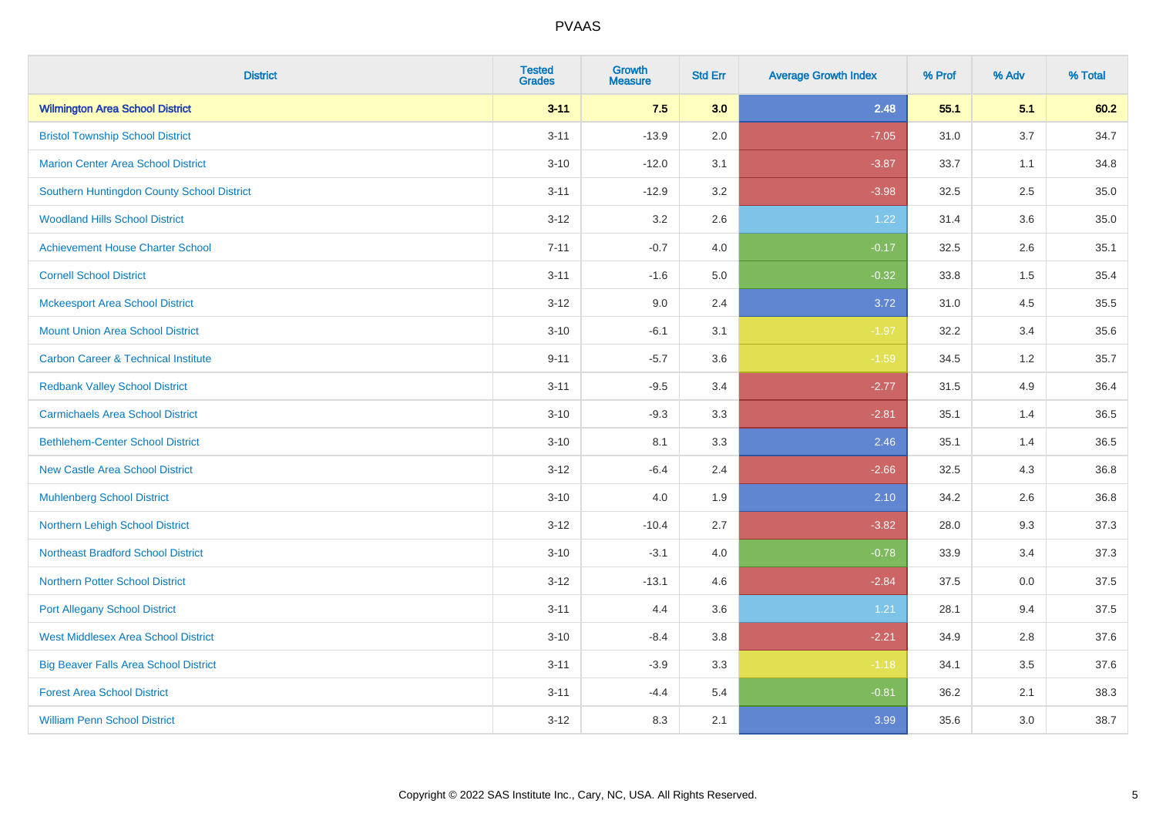| <b>District</b>                                | <b>Tested</b><br><b>Grades</b> | <b>Growth</b><br><b>Measure</b> | <b>Std Err</b> | <b>Average Growth Index</b> | % Prof | % Adv | % Total |
|------------------------------------------------|--------------------------------|---------------------------------|----------------|-----------------------------|--------|-------|---------|
| <b>Wilmington Area School District</b>         | $3 - 11$                       | 7.5                             | 3.0            | 2.48                        | 55.1   | 5.1   | 60.2    |
| <b>Bristol Township School District</b>        | $3 - 11$                       | $-13.9$                         | 2.0            | $-7.05$                     | 31.0   | 3.7   | 34.7    |
| <b>Marion Center Area School District</b>      | $3 - 10$                       | $-12.0$                         | 3.1            | $-3.87$                     | 33.7   | 1.1   | 34.8    |
| Southern Huntingdon County School District     | $3 - 11$                       | $-12.9$                         | 3.2            | $-3.98$                     | 32.5   | 2.5   | 35.0    |
| <b>Woodland Hills School District</b>          | $3 - 12$                       | 3.2                             | 2.6            | 1.22                        | 31.4   | 3.6   | 35.0    |
| <b>Achievement House Charter School</b>        | $7 - 11$                       | $-0.7$                          | 4.0            | $-0.17$                     | 32.5   | 2.6   | 35.1    |
| <b>Cornell School District</b>                 | $3 - 11$                       | $-1.6$                          | 5.0            | $-0.32$                     | 33.8   | 1.5   | 35.4    |
| <b>Mckeesport Area School District</b>         | $3 - 12$                       | 9.0                             | 2.4            | 3.72                        | 31.0   | 4.5   | 35.5    |
| <b>Mount Union Area School District</b>        | $3 - 10$                       | $-6.1$                          | 3.1            | $-1.97$                     | 32.2   | 3.4   | 35.6    |
| <b>Carbon Career &amp; Technical Institute</b> | $9 - 11$                       | $-5.7$                          | 3.6            | $-1.59$                     | 34.5   | 1.2   | 35.7    |
| <b>Redbank Valley School District</b>          | $3 - 11$                       | $-9.5$                          | 3.4            | $-2.77$                     | 31.5   | 4.9   | 36.4    |
| <b>Carmichaels Area School District</b>        | $3 - 10$                       | $-9.3$                          | 3.3            | $-2.81$                     | 35.1   | 1.4   | 36.5    |
| <b>Bethlehem-Center School District</b>        | $3 - 10$                       | 8.1                             | 3.3            | 2.46                        | 35.1   | 1.4   | 36.5    |
| <b>New Castle Area School District</b>         | $3 - 12$                       | $-6.4$                          | 2.4            | $-2.66$                     | 32.5   | 4.3   | 36.8    |
| <b>Muhlenberg School District</b>              | $3 - 10$                       | 4.0                             | 1.9            | 2.10                        | 34.2   | 2.6   | 36.8    |
| Northern Lehigh School District                | $3 - 12$                       | $-10.4$                         | 2.7            | $-3.82$                     | 28.0   | 9.3   | 37.3    |
| <b>Northeast Bradford School District</b>      | $3 - 10$                       | $-3.1$                          | 4.0            | $-0.78$                     | 33.9   | 3.4   | 37.3    |
| <b>Northern Potter School District</b>         | $3 - 12$                       | $-13.1$                         | 4.6            | $-2.84$                     | 37.5   | 0.0   | 37.5    |
| <b>Port Allegany School District</b>           | $3 - 11$                       | 4.4                             | 3.6            | 1.21                        | 28.1   | 9.4   | 37.5    |
| <b>West Middlesex Area School District</b>     | $3 - 10$                       | $-8.4$                          | 3.8            | $-2.21$                     | 34.9   | 2.8   | 37.6    |
| <b>Big Beaver Falls Area School District</b>   | $3 - 11$                       | $-3.9$                          | 3.3            | $-1.18$                     | 34.1   | 3.5   | 37.6    |
| <b>Forest Area School District</b>             | $3 - 11$                       | $-4.4$                          | 5.4            | $-0.81$                     | 36.2   | 2.1   | 38.3    |
| <b>William Penn School District</b>            | $3 - 12$                       | 8.3                             | 2.1            | 3.99                        | 35.6   | 3.0   | 38.7    |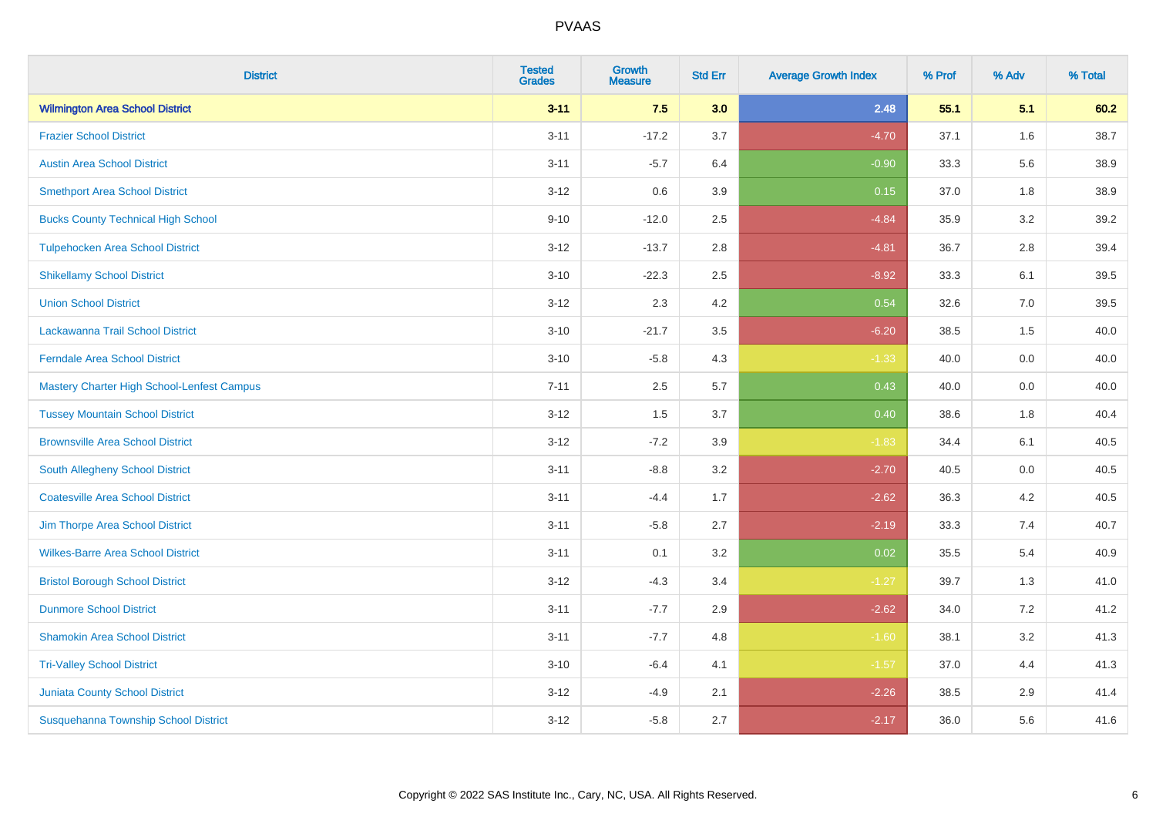| <b>District</b>                            | <b>Tested</b><br><b>Grades</b> | <b>Growth</b><br><b>Measure</b> | <b>Std Err</b> | <b>Average Growth Index</b> | % Prof | % Adv | % Total |
|--------------------------------------------|--------------------------------|---------------------------------|----------------|-----------------------------|--------|-------|---------|
| <b>Wilmington Area School District</b>     | $3 - 11$                       | 7.5                             | 3.0            | 2.48                        | 55.1   | 5.1   | 60.2    |
| <b>Frazier School District</b>             | $3 - 11$                       | $-17.2$                         | 3.7            | $-4.70$                     | 37.1   | 1.6   | 38.7    |
| <b>Austin Area School District</b>         | $3 - 11$                       | $-5.7$                          | 6.4            | $-0.90$                     | 33.3   | 5.6   | 38.9    |
| <b>Smethport Area School District</b>      | $3 - 12$                       | 0.6                             | 3.9            | 0.15                        | 37.0   | 1.8   | 38.9    |
| <b>Bucks County Technical High School</b>  | $9 - 10$                       | $-12.0$                         | 2.5            | $-4.84$                     | 35.9   | 3.2   | 39.2    |
| <b>Tulpehocken Area School District</b>    | $3 - 12$                       | $-13.7$                         | 2.8            | $-4.81$                     | 36.7   | 2.8   | 39.4    |
| <b>Shikellamy School District</b>          | $3 - 10$                       | $-22.3$                         | 2.5            | $-8.92$                     | 33.3   | 6.1   | 39.5    |
| <b>Union School District</b>               | $3 - 12$                       | 2.3                             | 4.2            | 0.54                        | 32.6   | 7.0   | 39.5    |
| Lackawanna Trail School District           | $3 - 10$                       | $-21.7$                         | 3.5            | $-6.20$                     | 38.5   | 1.5   | 40.0    |
| <b>Ferndale Area School District</b>       | $3 - 10$                       | $-5.8$                          | 4.3            | $-1.33$                     | 40.0   | 0.0   | 40.0    |
| Mastery Charter High School-Lenfest Campus | $7 - 11$                       | 2.5                             | 5.7            | 0.43                        | 40.0   | 0.0   | 40.0    |
| <b>Tussey Mountain School District</b>     | $3 - 12$                       | 1.5                             | 3.7            | 0.40                        | 38.6   | 1.8   | 40.4    |
| <b>Brownsville Area School District</b>    | $3 - 12$                       | $-7.2$                          | 3.9            | $-1.83$                     | 34.4   | 6.1   | 40.5    |
| South Allegheny School District            | $3 - 11$                       | $-8.8$                          | 3.2            | $-2.70$                     | 40.5   | 0.0   | 40.5    |
| <b>Coatesville Area School District</b>    | $3 - 11$                       | $-4.4$                          | 1.7            | $-2.62$                     | 36.3   | 4.2   | 40.5    |
| Jim Thorpe Area School District            | $3 - 11$                       | $-5.8$                          | 2.7            | $-2.19$                     | 33.3   | 7.4   | 40.7    |
| <b>Wilkes-Barre Area School District</b>   | $3 - 11$                       | 0.1                             | 3.2            | 0.02                        | 35.5   | 5.4   | 40.9    |
| <b>Bristol Borough School District</b>     | $3 - 12$                       | $-4.3$                          | 3.4            | $-1.27$                     | 39.7   | 1.3   | 41.0    |
| <b>Dunmore School District</b>             | $3 - 11$                       | $-7.7$                          | 2.9            | $-2.62$                     | 34.0   | 7.2   | 41.2    |
| <b>Shamokin Area School District</b>       | $3 - 11$                       | $-7.7$                          | 4.8            | $-1.60$                     | 38.1   | 3.2   | 41.3    |
| <b>Tri-Valley School District</b>          | $3 - 10$                       | $-6.4$                          | 4.1            | $-1.57$                     | 37.0   | 4.4   | 41.3    |
| <b>Juniata County School District</b>      | $3 - 12$                       | $-4.9$                          | 2.1            | $-2.26$                     | 38.5   | 2.9   | 41.4    |
| Susquehanna Township School District       | $3 - 12$                       | $-5.8$                          | 2.7            | $-2.17$                     | 36.0   | 5.6   | 41.6    |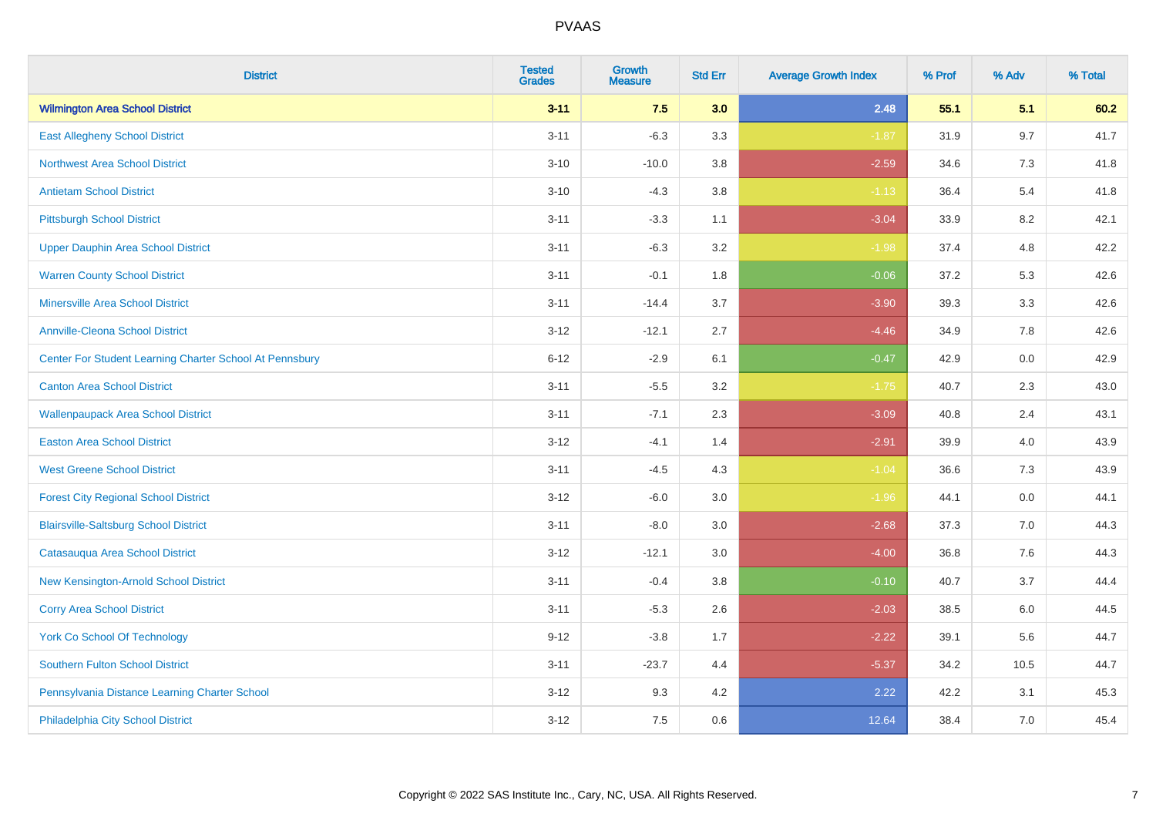| <b>District</b>                                         | <b>Tested</b><br><b>Grades</b> | <b>Growth</b><br><b>Measure</b> | <b>Std Err</b> | <b>Average Growth Index</b> | % Prof | % Adv | % Total |
|---------------------------------------------------------|--------------------------------|---------------------------------|----------------|-----------------------------|--------|-------|---------|
| <b>Wilmington Area School District</b>                  | $3 - 11$                       | 7.5                             | 3.0            | 2.48                        | 55.1   | 5.1   | 60.2    |
| <b>East Allegheny School District</b>                   | $3 - 11$                       | $-6.3$                          | 3.3            | $-1.87$                     | 31.9   | 9.7   | 41.7    |
| <b>Northwest Area School District</b>                   | $3 - 10$                       | $-10.0$                         | 3.8            | $-2.59$                     | 34.6   | 7.3   | 41.8    |
| <b>Antietam School District</b>                         | $3 - 10$                       | $-4.3$                          | 3.8            | $-1.13$                     | 36.4   | 5.4   | 41.8    |
| <b>Pittsburgh School District</b>                       | $3 - 11$                       | $-3.3$                          | 1.1            | $-3.04$                     | 33.9   | 8.2   | 42.1    |
| <b>Upper Dauphin Area School District</b>               | $3 - 11$                       | $-6.3$                          | 3.2            | $-1.98$                     | 37.4   | 4.8   | 42.2    |
| <b>Warren County School District</b>                    | $3 - 11$                       | $-0.1$                          | 1.8            | $-0.06$                     | 37.2   | 5.3   | 42.6    |
| <b>Minersville Area School District</b>                 | $3 - 11$                       | $-14.4$                         | 3.7            | $-3.90$                     | 39.3   | 3.3   | 42.6    |
| <b>Annville-Cleona School District</b>                  | $3 - 12$                       | $-12.1$                         | 2.7            | $-4.46$                     | 34.9   | 7.8   | 42.6    |
| Center For Student Learning Charter School At Pennsbury | $6 - 12$                       | $-2.9$                          | 6.1            | $-0.47$                     | 42.9   | 0.0   | 42.9    |
| <b>Canton Area School District</b>                      | $3 - 11$                       | $-5.5$                          | 3.2            | $-1.75$                     | 40.7   | 2.3   | 43.0    |
| <b>Wallenpaupack Area School District</b>               | $3 - 11$                       | $-7.1$                          | 2.3            | $-3.09$                     | 40.8   | 2.4   | 43.1    |
| <b>Easton Area School District</b>                      | $3 - 12$                       | $-4.1$                          | 1.4            | $-2.91$                     | 39.9   | 4.0   | 43.9    |
| <b>West Greene School District</b>                      | $3 - 11$                       | $-4.5$                          | 4.3            | $-1.04$                     | 36.6   | 7.3   | 43.9    |
| <b>Forest City Regional School District</b>             | $3 - 12$                       | $-6.0$                          | 3.0            | $-1.96$                     | 44.1   | 0.0   | 44.1    |
| <b>Blairsville-Saltsburg School District</b>            | $3 - 11$                       | $-8.0$                          | 3.0            | $-2.68$                     | 37.3   | 7.0   | 44.3    |
| Catasauqua Area School District                         | $3 - 12$                       | $-12.1$                         | 3.0            | $-4.00$                     | 36.8   | 7.6   | 44.3    |
| New Kensington-Arnold School District                   | $3 - 11$                       | $-0.4$                          | 3.8            | $-0.10$                     | 40.7   | 3.7   | 44.4    |
| <b>Corry Area School District</b>                       | $3 - 11$                       | $-5.3$                          | 2.6            | $-2.03$                     | 38.5   | 6.0   | 44.5    |
| <b>York Co School Of Technology</b>                     | $9 - 12$                       | $-3.8$                          | 1.7            | $-2.22$                     | 39.1   | 5.6   | 44.7    |
| Southern Fulton School District                         | $3 - 11$                       | $-23.7$                         | 4.4            | $-5.37$                     | 34.2   | 10.5  | 44.7    |
| Pennsylvania Distance Learning Charter School           | $3 - 12$                       | 9.3                             | 4.2            | 2.22                        | 42.2   | 3.1   | 45.3    |
| Philadelphia City School District                       | $3 - 12$                       | 7.5                             | 0.6            | 12.64                       | 38.4   | 7.0   | 45.4    |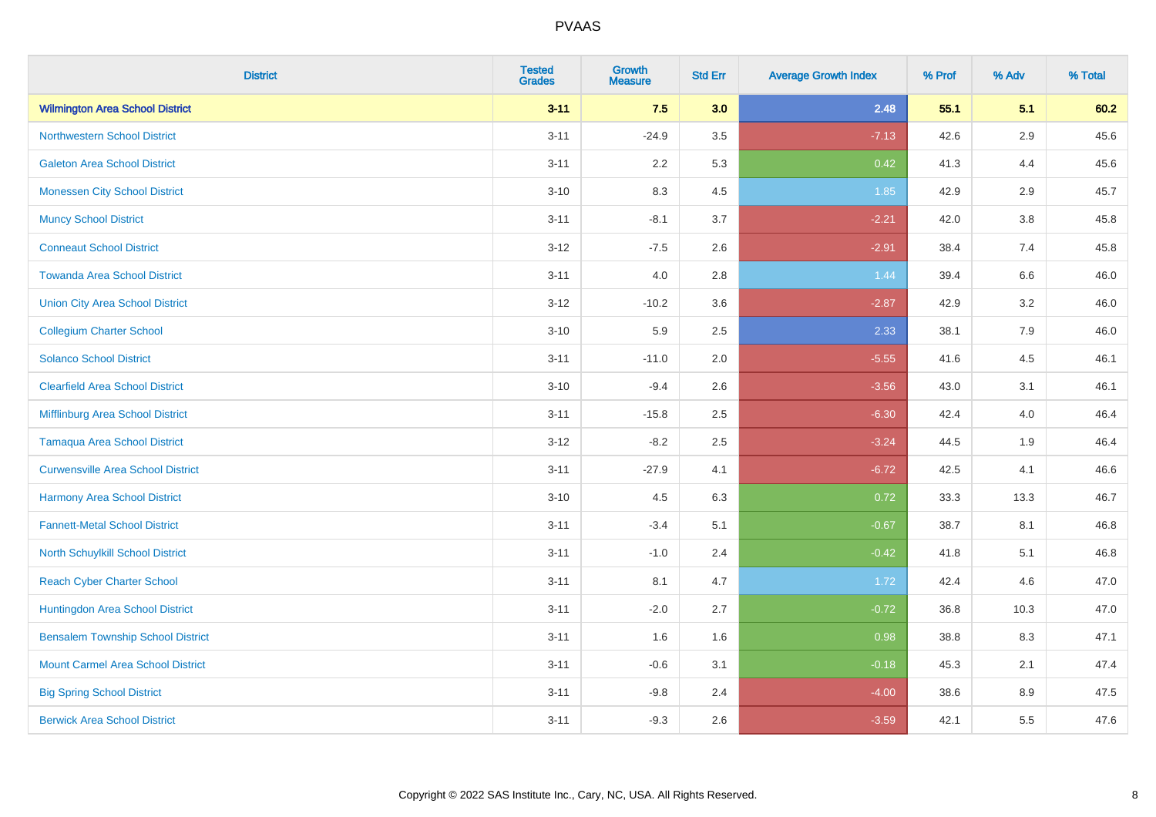| <b>District</b>                          | <b>Tested</b><br><b>Grades</b> | <b>Growth</b><br><b>Measure</b> | <b>Std Err</b> | <b>Average Growth Index</b> | % Prof | % Adv | % Total |
|------------------------------------------|--------------------------------|---------------------------------|----------------|-----------------------------|--------|-------|---------|
| <b>Wilmington Area School District</b>   | $3 - 11$                       | 7.5                             | 3.0            | 2.48                        | 55.1   | 5.1   | 60.2    |
| <b>Northwestern School District</b>      | $3 - 11$                       | $-24.9$                         | 3.5            | $-7.13$                     | 42.6   | 2.9   | 45.6    |
| <b>Galeton Area School District</b>      | $3 - 11$                       | 2.2                             | 5.3            | 0.42                        | 41.3   | 4.4   | 45.6    |
| <b>Monessen City School District</b>     | $3 - 10$                       | 8.3                             | 4.5            | 1.85                        | 42.9   | 2.9   | 45.7    |
| <b>Muncy School District</b>             | $3 - 11$                       | $-8.1$                          | 3.7            | $-2.21$                     | 42.0   | 3.8   | 45.8    |
| <b>Conneaut School District</b>          | $3 - 12$                       | $-7.5$                          | 2.6            | $-2.91$                     | 38.4   | 7.4   | 45.8    |
| <b>Towanda Area School District</b>      | $3 - 11$                       | 4.0                             | 2.8            | 1.44                        | 39.4   | 6.6   | 46.0    |
| <b>Union City Area School District</b>   | $3-12$                         | $-10.2$                         | 3.6            | $-2.87$                     | 42.9   | 3.2   | 46.0    |
| <b>Collegium Charter School</b>          | $3 - 10$                       | 5.9                             | 2.5            | 2.33                        | 38.1   | 7.9   | 46.0    |
| <b>Solanco School District</b>           | $3 - 11$                       | $-11.0$                         | 2.0            | $-5.55$                     | 41.6   | 4.5   | 46.1    |
| <b>Clearfield Area School District</b>   | $3 - 10$                       | $-9.4$                          | 2.6            | $-3.56$                     | 43.0   | 3.1   | 46.1    |
| Mifflinburg Area School District         | $3 - 11$                       | $-15.8$                         | 2.5            | $-6.30$                     | 42.4   | 4.0   | 46.4    |
| <b>Tamaqua Area School District</b>      | $3 - 12$                       | $-8.2$                          | 2.5            | $-3.24$                     | 44.5   | 1.9   | 46.4    |
| <b>Curwensville Area School District</b> | $3 - 11$                       | $-27.9$                         | 4.1            | $-6.72$                     | 42.5   | 4.1   | 46.6    |
| Harmony Area School District             | $3 - 10$                       | 4.5                             | 6.3            | 0.72                        | 33.3   | 13.3  | 46.7    |
| <b>Fannett-Metal School District</b>     | $3 - 11$                       | $-3.4$                          | 5.1            | $-0.67$                     | 38.7   | 8.1   | 46.8    |
| North Schuylkill School District         | $3 - 11$                       | $-1.0$                          | 2.4            | $-0.42$                     | 41.8   | 5.1   | 46.8    |
| <b>Reach Cyber Charter School</b>        | $3 - 11$                       | 8.1                             | 4.7            | 1.72                        | 42.4   | 4.6   | 47.0    |
| Huntingdon Area School District          | $3 - 11$                       | $-2.0$                          | 2.7            | $-0.72$                     | 36.8   | 10.3  | 47.0    |
| <b>Bensalem Township School District</b> | $3 - 11$                       | 1.6                             | 1.6            | 0.98                        | 38.8   | 8.3   | 47.1    |
| <b>Mount Carmel Area School District</b> | $3 - 11$                       | $-0.6$                          | 3.1            | $-0.18$                     | 45.3   | 2.1   | 47.4    |
| <b>Big Spring School District</b>        | $3 - 11$                       | $-9.8$                          | 2.4            | $-4.00$                     | 38.6   | 8.9   | 47.5    |
| <b>Berwick Area School District</b>      | $3 - 11$                       | $-9.3$                          | 2.6            | $-3.59$                     | 42.1   | 5.5   | 47.6    |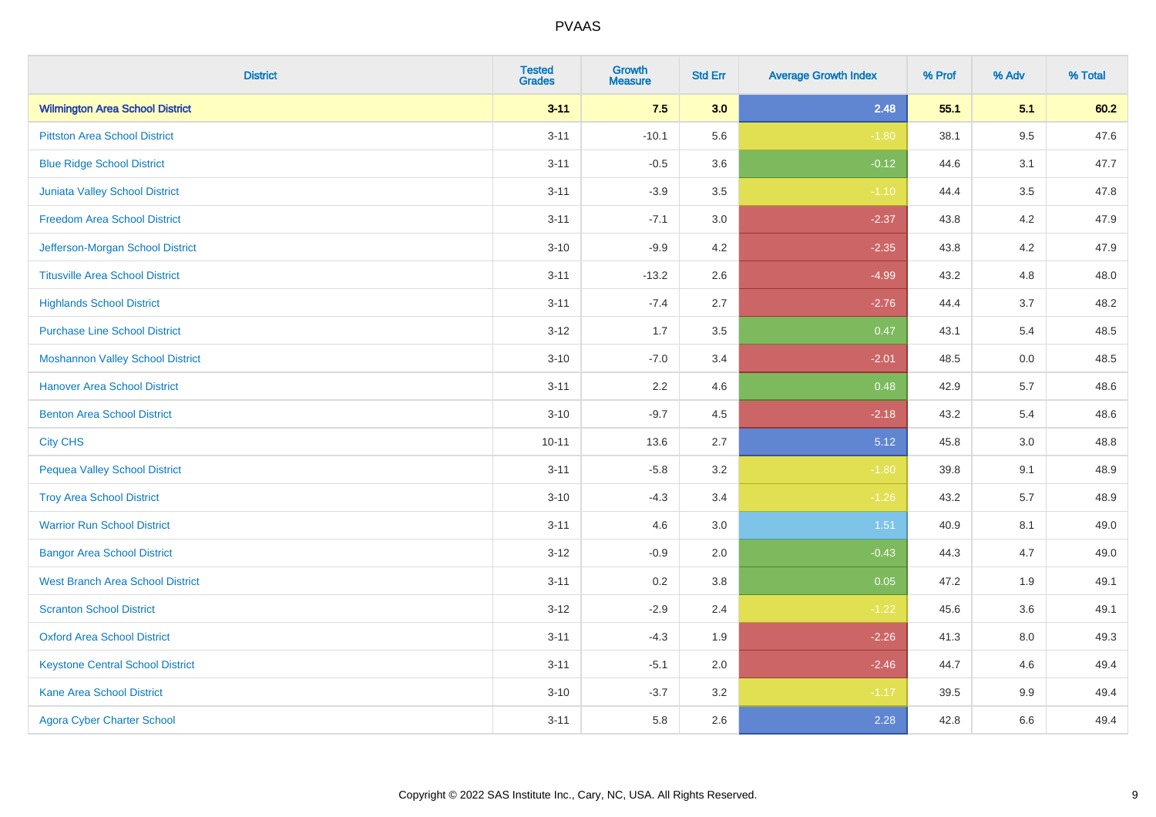| <b>District</b>                         | <b>Tested</b><br><b>Grades</b> | <b>Growth</b><br><b>Measure</b> | <b>Std Err</b> | <b>Average Growth Index</b> | % Prof | % Adv   | % Total |
|-----------------------------------------|--------------------------------|---------------------------------|----------------|-----------------------------|--------|---------|---------|
| <b>Wilmington Area School District</b>  | $3 - 11$                       | 7.5                             | 3.0            | 2.48                        | 55.1   | 5.1     | 60.2    |
| <b>Pittston Area School District</b>    | $3 - 11$                       | $-10.1$                         | 5.6            | $-1.80$                     | 38.1   | $9.5\,$ | 47.6    |
| <b>Blue Ridge School District</b>       | $3 - 11$                       | $-0.5$                          | 3.6            | $-0.12$                     | 44.6   | 3.1     | 47.7    |
| <b>Juniata Valley School District</b>   | $3 - 11$                       | $-3.9$                          | 3.5            | $-1.10$                     | 44.4   | 3.5     | 47.8    |
| <b>Freedom Area School District</b>     | $3 - 11$                       | $-7.1$                          | 3.0            | $-2.37$                     | 43.8   | 4.2     | 47.9    |
| Jefferson-Morgan School District        | $3 - 10$                       | $-9.9$                          | 4.2            | $-2.35$                     | 43.8   | 4.2     | 47.9    |
| <b>Titusville Area School District</b>  | $3 - 11$                       | $-13.2$                         | 2.6            | $-4.99$                     | 43.2   | 4.8     | 48.0    |
| <b>Highlands School District</b>        | $3 - 11$                       | $-7.4$                          | 2.7            | $-2.76$                     | 44.4   | 3.7     | 48.2    |
| <b>Purchase Line School District</b>    | $3 - 12$                       | 1.7                             | 3.5            | 0.47                        | 43.1   | 5.4     | 48.5    |
| <b>Moshannon Valley School District</b> | $3 - 10$                       | $-7.0$                          | 3.4            | $-2.01$                     | 48.5   | 0.0     | 48.5    |
| <b>Hanover Area School District</b>     | $3 - 11$                       | 2.2                             | 4.6            | 0.48                        | 42.9   | 5.7     | 48.6    |
| <b>Benton Area School District</b>      | $3 - 10$                       | $-9.7$                          | 4.5            | $-2.18$                     | 43.2   | 5.4     | 48.6    |
| <b>City CHS</b>                         | $10 - 11$                      | 13.6                            | 2.7            | 5.12                        | 45.8   | $3.0\,$ | 48.8    |
| <b>Pequea Valley School District</b>    | $3 - 11$                       | $-5.8$                          | 3.2            | $-1.80$                     | 39.8   | 9.1     | 48.9    |
| <b>Troy Area School District</b>        | $3 - 10$                       | $-4.3$                          | 3.4            | $-1.26$                     | 43.2   | 5.7     | 48.9    |
| <b>Warrior Run School District</b>      | $3 - 11$                       | 4.6                             | 3.0            | 1.51                        | 40.9   | 8.1     | 49.0    |
| <b>Bangor Area School District</b>      | $3 - 12$                       | $-0.9$                          | 2.0            | $-0.43$                     | 44.3   | 4.7     | 49.0    |
| <b>West Branch Area School District</b> | $3 - 11$                       | 0.2                             | 3.8            | 0.05                        | 47.2   | 1.9     | 49.1    |
| <b>Scranton School District</b>         | $3 - 12$                       | $-2.9$                          | 2.4            | $-1.22$                     | 45.6   | 3.6     | 49.1    |
| <b>Oxford Area School District</b>      | $3 - 11$                       | $-4.3$                          | 1.9            | $-2.26$                     | 41.3   | 8.0     | 49.3    |
| <b>Keystone Central School District</b> | $3 - 11$                       | $-5.1$                          | 2.0            | $-2.46$                     | 44.7   | 4.6     | 49.4    |
| <b>Kane Area School District</b>        | $3 - 10$                       | $-3.7$                          | 3.2            | $-1.17$                     | 39.5   | $9.9\,$ | 49.4    |
| <b>Agora Cyber Charter School</b>       | $3 - 11$                       | 5.8                             | 2.6            | 2.28                        | 42.8   | 6.6     | 49.4    |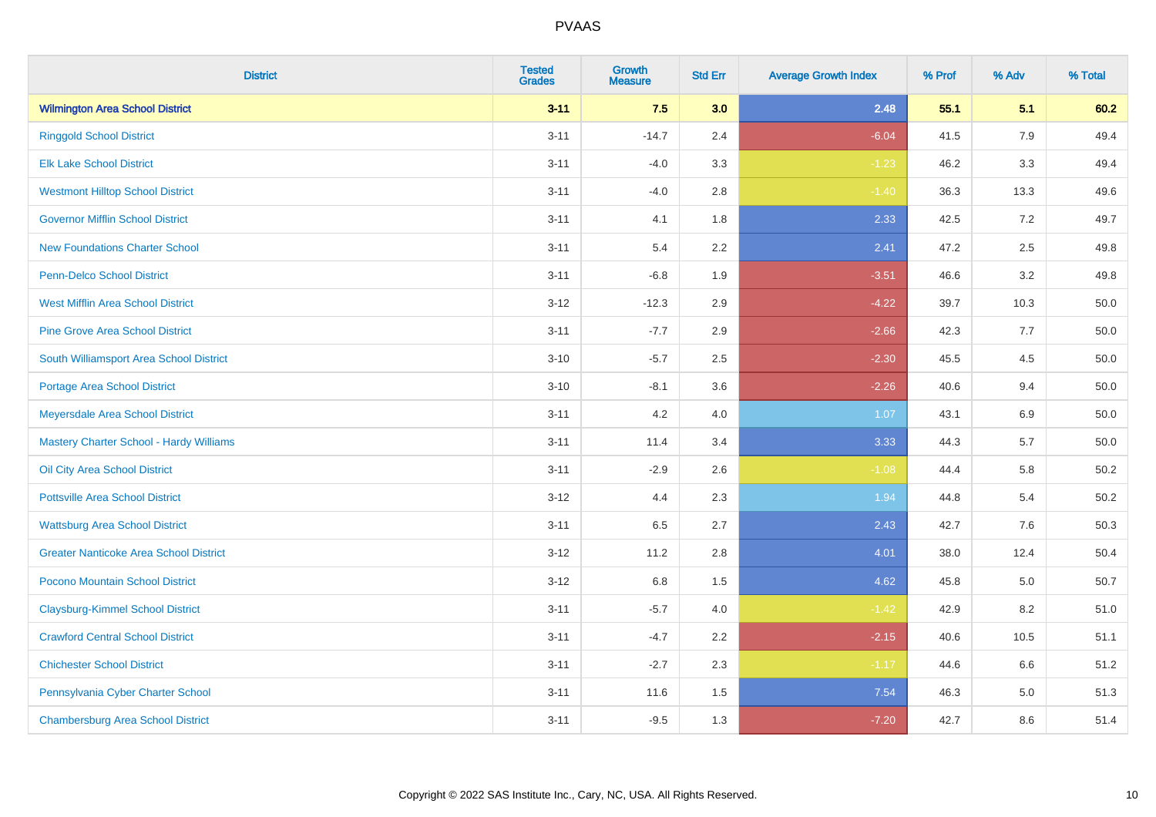| <b>District</b>                                | <b>Tested</b><br><b>Grades</b> | <b>Growth</b><br><b>Measure</b> | <b>Std Err</b> | <b>Average Growth Index</b> | % Prof | % Adv   | % Total  |
|------------------------------------------------|--------------------------------|---------------------------------|----------------|-----------------------------|--------|---------|----------|
| <b>Wilmington Area School District</b>         | $3 - 11$                       | 7.5                             | 3.0            | 2.48                        | 55.1   | 5.1     | 60.2     |
| <b>Ringgold School District</b>                | $3 - 11$                       | $-14.7$                         | 2.4            | $-6.04$                     | 41.5   | 7.9     | 49.4     |
| <b>Elk Lake School District</b>                | $3 - 11$                       | $-4.0$                          | 3.3            | $-1.23$                     | 46.2   | 3.3     | 49.4     |
| <b>Westmont Hilltop School District</b>        | $3 - 11$                       | $-4.0$                          | 2.8            | $-1.40$                     | 36.3   | 13.3    | 49.6     |
| <b>Governor Mifflin School District</b>        | $3 - 11$                       | 4.1                             | 1.8            | 2.33                        | 42.5   | 7.2     | 49.7     |
| <b>New Foundations Charter School</b>          | $3 - 11$                       | 5.4                             | 2.2            | 2.41                        | 47.2   | 2.5     | 49.8     |
| Penn-Delco School District                     | $3 - 11$                       | $-6.8$                          | 1.9            | $-3.51$                     | 46.6   | 3.2     | 49.8     |
| <b>West Mifflin Area School District</b>       | $3 - 12$                       | $-12.3$                         | 2.9            | $-4.22$                     | 39.7   | 10.3    | 50.0     |
| <b>Pine Grove Area School District</b>         | $3 - 11$                       | $-7.7$                          | 2.9            | $-2.66$                     | 42.3   | 7.7     | 50.0     |
| South Williamsport Area School District        | $3 - 10$                       | $-5.7$                          | 2.5            | $-2.30$                     | 45.5   | 4.5     | 50.0     |
| Portage Area School District                   | $3 - 10$                       | $-8.1$                          | 3.6            | $-2.26$                     | 40.6   | 9.4     | 50.0     |
| Meyersdale Area School District                | $3 - 11$                       | 4.2                             | 4.0            | 1.07                        | 43.1   | $6.9\,$ | 50.0     |
| <b>Mastery Charter School - Hardy Williams</b> | $3 - 11$                       | 11.4                            | 3.4            | 3.33                        | 44.3   | 5.7     | $50.0\,$ |
| Oil City Area School District                  | $3 - 11$                       | $-2.9$                          | 2.6            | $-1.08$                     | 44.4   | 5.8     | 50.2     |
| <b>Pottsville Area School District</b>         | $3 - 12$                       | 4.4                             | 2.3            | 1.94                        | 44.8   | 5.4     | 50.2     |
| <b>Wattsburg Area School District</b>          | $3 - 11$                       | 6.5                             | 2.7            | 2.43                        | 42.7   | 7.6     | 50.3     |
| <b>Greater Nanticoke Area School District</b>  | $3 - 12$                       | 11.2                            | 2.8            | 4.01                        | 38.0   | 12.4    | 50.4     |
| Pocono Mountain School District                | $3 - 12$                       | 6.8                             | 1.5            | 4.62                        | 45.8   | 5.0     | 50.7     |
| <b>Claysburg-Kimmel School District</b>        | $3 - 11$                       | $-5.7$                          | 4.0            | $-1.42$                     | 42.9   | 8.2     | 51.0     |
| <b>Crawford Central School District</b>        | $3 - 11$                       | $-4.7$                          | 2.2            | $-2.15$                     | 40.6   | 10.5    | 51.1     |
| <b>Chichester School District</b>              | $3 - 11$                       | $-2.7$                          | 2.3            | $-1.17$                     | 44.6   | 6.6     | 51.2     |
| Pennsylvania Cyber Charter School              | $3 - 11$                       | 11.6                            | 1.5            | 7.54                        | 46.3   | 5.0     | 51.3     |
| <b>Chambersburg Area School District</b>       | $3 - 11$                       | $-9.5$                          | 1.3            | $-7.20$                     | 42.7   | 8.6     | 51.4     |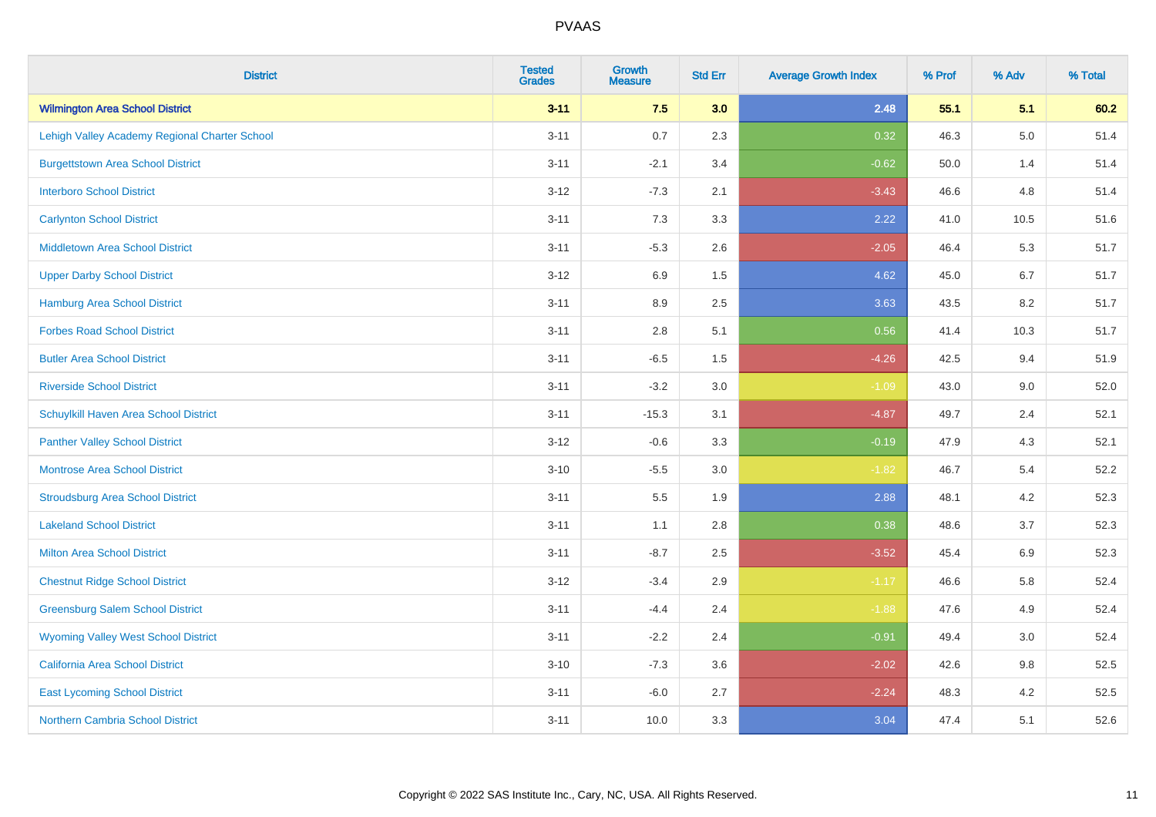| <b>District</b>                               | <b>Tested</b><br><b>Grades</b> | <b>Growth</b><br><b>Measure</b> | <b>Std Err</b> | <b>Average Growth Index</b> | % Prof | % Adv   | % Total |
|-----------------------------------------------|--------------------------------|---------------------------------|----------------|-----------------------------|--------|---------|---------|
| <b>Wilmington Area School District</b>        | $3 - 11$                       | 7.5                             | 3.0            | 2.48                        | 55.1   | 5.1     | 60.2    |
| Lehigh Valley Academy Regional Charter School | $3 - 11$                       | 0.7                             | 2.3            | 0.32                        | 46.3   | $5.0\,$ | 51.4    |
| <b>Burgettstown Area School District</b>      | $3 - 11$                       | $-2.1$                          | 3.4            | $-0.62$                     | 50.0   | 1.4     | 51.4    |
| <b>Interboro School District</b>              | $3 - 12$                       | $-7.3$                          | 2.1            | $-3.43$                     | 46.6   | 4.8     | 51.4    |
| <b>Carlynton School District</b>              | $3 - 11$                       | 7.3                             | 3.3            | 2.22                        | 41.0   | 10.5    | 51.6    |
| <b>Middletown Area School District</b>        | $3 - 11$                       | $-5.3$                          | 2.6            | $-2.05$                     | 46.4   | 5.3     | 51.7    |
| <b>Upper Darby School District</b>            | $3 - 12$                       | 6.9                             | 1.5            | 4.62                        | 45.0   | 6.7     | 51.7    |
| <b>Hamburg Area School District</b>           | $3 - 11$                       | 8.9                             | 2.5            | 3.63                        | 43.5   | 8.2     | 51.7    |
| <b>Forbes Road School District</b>            | $3 - 11$                       | 2.8                             | 5.1            | 0.56                        | 41.4   | 10.3    | 51.7    |
| <b>Butler Area School District</b>            | $3 - 11$                       | $-6.5$                          | 1.5            | $-4.26$                     | 42.5   | 9.4     | 51.9    |
| <b>Riverside School District</b>              | $3 - 11$                       | $-3.2$                          | 3.0            | $-1.09$                     | 43.0   | 9.0     | 52.0    |
| <b>Schuylkill Haven Area School District</b>  | $3 - 11$                       | $-15.3$                         | 3.1            | $-4.87$                     | 49.7   | 2.4     | 52.1    |
| <b>Panther Valley School District</b>         | $3 - 12$                       | $-0.6$                          | 3.3            | $-0.19$                     | 47.9   | 4.3     | 52.1    |
| Montrose Area School District                 | $3 - 10$                       | $-5.5$                          | 3.0            | $-1.82$                     | 46.7   | 5.4     | 52.2    |
| <b>Stroudsburg Area School District</b>       | $3 - 11$                       | $5.5\,$                         | 1.9            | 2.88                        | 48.1   | 4.2     | 52.3    |
| <b>Lakeland School District</b>               | $3 - 11$                       | 1.1                             | 2.8            | 0.38                        | 48.6   | 3.7     | 52.3    |
| <b>Milton Area School District</b>            | $3 - 11$                       | $-8.7$                          | 2.5            | $-3.52$                     | 45.4   | 6.9     | 52.3    |
| <b>Chestnut Ridge School District</b>         | $3 - 12$                       | $-3.4$                          | 2.9            | $-1.17$                     | 46.6   | 5.8     | 52.4    |
| <b>Greensburg Salem School District</b>       | $3 - 11$                       | $-4.4$                          | 2.4            | $-1.88$                     | 47.6   | 4.9     | 52.4    |
| <b>Wyoming Valley West School District</b>    | $3 - 11$                       | $-2.2$                          | 2.4            | $-0.91$                     | 49.4   | 3.0     | 52.4    |
| California Area School District               | $3 - 10$                       | $-7.3$                          | 3.6            | $-2.02$                     | 42.6   | 9.8     | 52.5    |
| <b>East Lycoming School District</b>          | $3 - 11$                       | $-6.0$                          | 2.7            | $-2.24$                     | 48.3   | 4.2     | 52.5    |
| <b>Northern Cambria School District</b>       | $3 - 11$                       | 10.0                            | 3.3            | 3.04                        | 47.4   | 5.1     | 52.6    |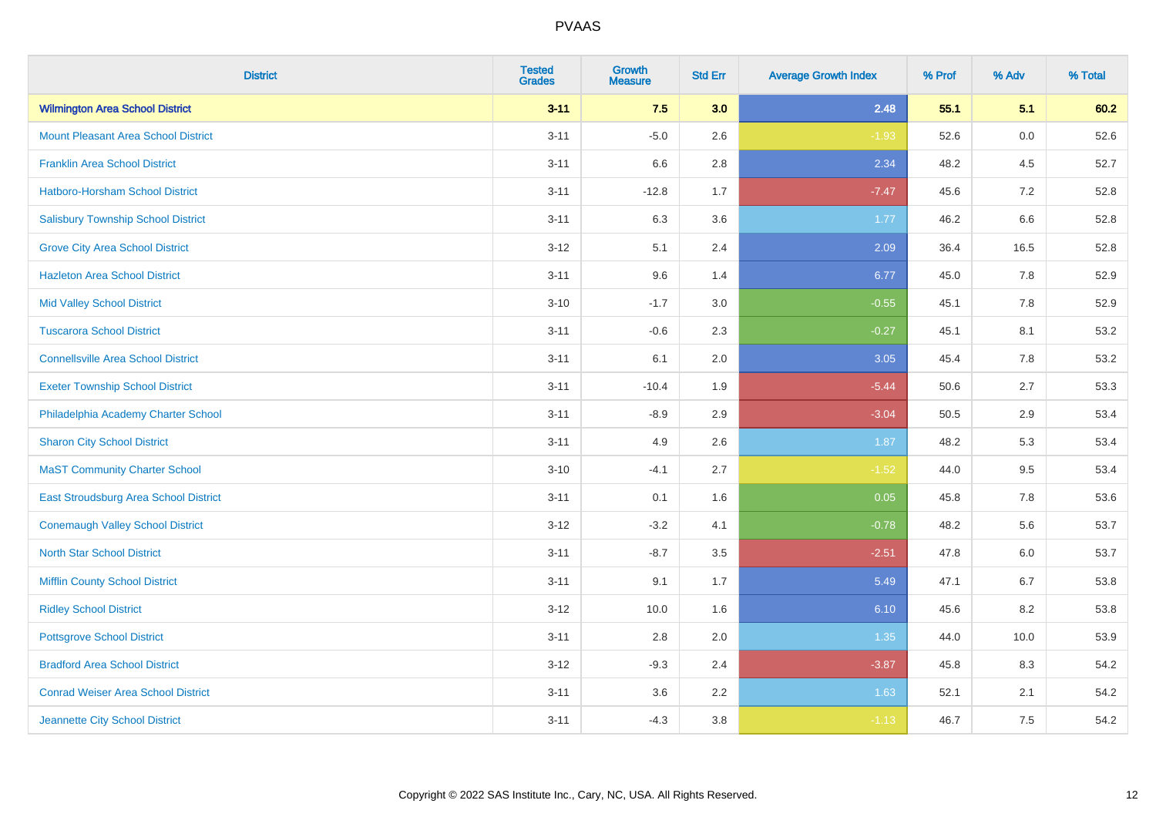| <b>District</b>                            | <b>Tested</b><br><b>Grades</b> | <b>Growth</b><br><b>Measure</b> | <b>Std Err</b> | <b>Average Growth Index</b> | % Prof | % Adv   | % Total |
|--------------------------------------------|--------------------------------|---------------------------------|----------------|-----------------------------|--------|---------|---------|
| <b>Wilmington Area School District</b>     | $3 - 11$                       | 7.5                             | 3.0            | 2.48                        | 55.1   | 5.1     | 60.2    |
| <b>Mount Pleasant Area School District</b> | $3 - 11$                       | $-5.0$                          | 2.6            | $-1.93$                     | 52.6   | 0.0     | 52.6    |
| <b>Franklin Area School District</b>       | $3 - 11$                       | 6.6                             | 2.8            | 2.34                        | 48.2   | 4.5     | 52.7    |
| Hatboro-Horsham School District            | $3 - 11$                       | $-12.8$                         | 1.7            | $-7.47$                     | 45.6   | 7.2     | 52.8    |
| <b>Salisbury Township School District</b>  | $3 - 11$                       | 6.3                             | 3.6            | 1.77                        | 46.2   | 6.6     | 52.8    |
| <b>Grove City Area School District</b>     | $3 - 12$                       | 5.1                             | 2.4            | 2.09                        | 36.4   | 16.5    | 52.8    |
| <b>Hazleton Area School District</b>       | $3 - 11$                       | 9.6                             | 1.4            | 6.77                        | 45.0   | 7.8     | 52.9    |
| <b>Mid Valley School District</b>          | $3 - 10$                       | $-1.7$                          | 3.0            | $-0.55$                     | 45.1   | 7.8     | 52.9    |
| <b>Tuscarora School District</b>           | $3 - 11$                       | $-0.6$                          | 2.3            | $-0.27$                     | 45.1   | 8.1     | 53.2    |
| <b>Connellsville Area School District</b>  | $3 - 11$                       | 6.1                             | 2.0            | 3.05                        | 45.4   | 7.8     | 53.2    |
| <b>Exeter Township School District</b>     | $3 - 11$                       | $-10.4$                         | 1.9            | $-5.44$                     | 50.6   | 2.7     | 53.3    |
| Philadelphia Academy Charter School        | $3 - 11$                       | $-8.9$                          | 2.9            | $-3.04$                     | 50.5   | 2.9     | 53.4    |
| <b>Sharon City School District</b>         | $3 - 11$                       | 4.9                             | 2.6            | 1.87                        | 48.2   | $5.3\,$ | 53.4    |
| <b>MaST Community Charter School</b>       | $3 - 10$                       | $-4.1$                          | 2.7            | $-1.52$                     | 44.0   | 9.5     | 53.4    |
| East Stroudsburg Area School District      | $3 - 11$                       | 0.1                             | 1.6            | 0.05                        | 45.8   | 7.8     | 53.6    |
| <b>Conemaugh Valley School District</b>    | $3 - 12$                       | $-3.2$                          | 4.1            | $-0.78$                     | 48.2   | 5.6     | 53.7    |
| <b>North Star School District</b>          | $3 - 11$                       | $-8.7$                          | 3.5            | $-2.51$                     | 47.8   | 6.0     | 53.7    |
| <b>Mifflin County School District</b>      | $3 - 11$                       | 9.1                             | 1.7            | 5.49                        | 47.1   | 6.7     | 53.8    |
| <b>Ridley School District</b>              | $3 - 12$                       | 10.0                            | 1.6            | 6.10                        | 45.6   | 8.2     | 53.8    |
| <b>Pottsgrove School District</b>          | $3 - 11$                       | 2.8                             | 2.0            | 1.35                        | 44.0   | 10.0    | 53.9    |
| <b>Bradford Area School District</b>       | $3 - 12$                       | $-9.3$                          | 2.4            | $-3.87$                     | 45.8   | 8.3     | 54.2    |
| <b>Conrad Weiser Area School District</b>  | $3 - 11$                       | 3.6                             | 2.2            | 1.63                        | 52.1   | 2.1     | 54.2    |
| Jeannette City School District             | $3 - 11$                       | $-4.3$                          | 3.8            | $-1.13$                     | 46.7   | 7.5     | 54.2    |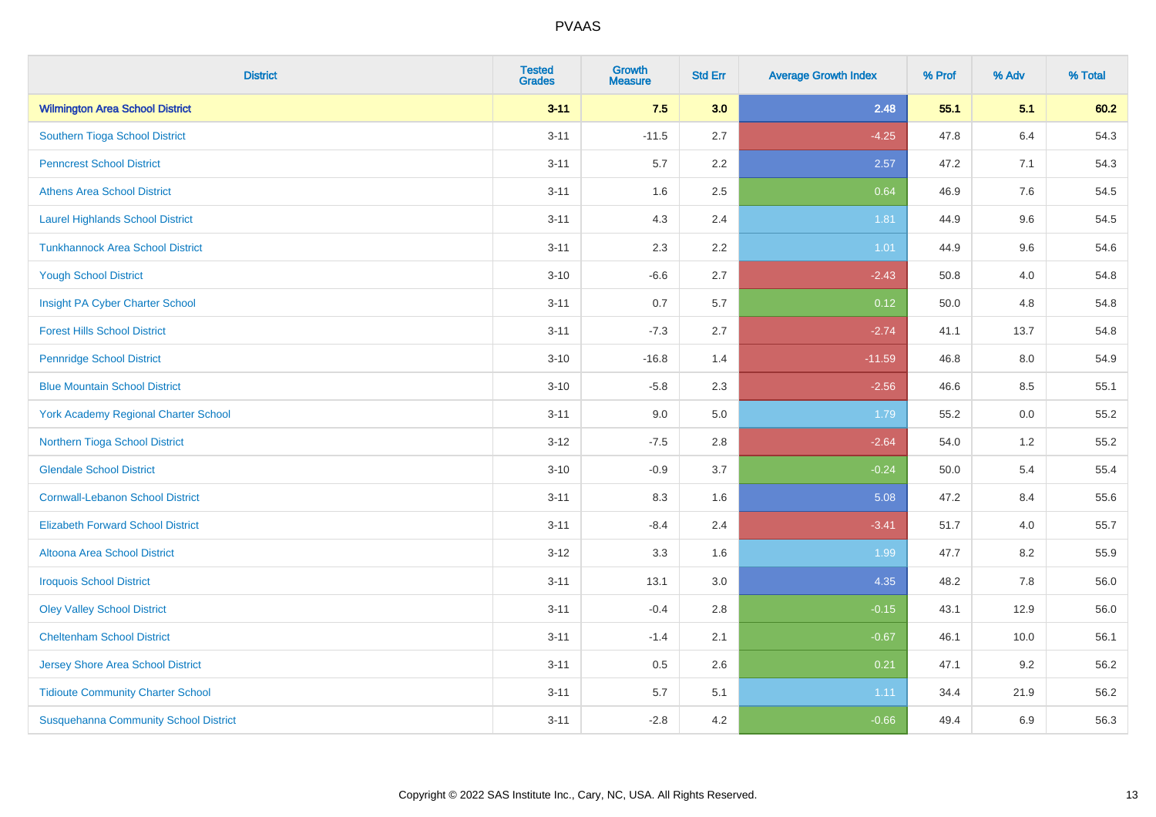| <b>District</b>                              | <b>Tested</b><br><b>Grades</b> | <b>Growth</b><br><b>Measure</b> | <b>Std Err</b> | <b>Average Growth Index</b> | % Prof | % Adv   | % Total |
|----------------------------------------------|--------------------------------|---------------------------------|----------------|-----------------------------|--------|---------|---------|
| <b>Wilmington Area School District</b>       | $3 - 11$                       | 7.5                             | 3.0            | 2.48                        | 55.1   | 5.1     | 60.2    |
| <b>Southern Tioga School District</b>        | $3 - 11$                       | $-11.5$                         | 2.7            | $-4.25$                     | 47.8   | $6.4\,$ | 54.3    |
| <b>Penncrest School District</b>             | $3 - 11$                       | 5.7                             | 2.2            | 2.57                        | 47.2   | 7.1     | 54.3    |
| <b>Athens Area School District</b>           | $3 - 11$                       | 1.6                             | 2.5            | 0.64                        | 46.9   | 7.6     | 54.5    |
| <b>Laurel Highlands School District</b>      | $3 - 11$                       | 4.3                             | 2.4            | 1.81                        | 44.9   | 9.6     | 54.5    |
| <b>Tunkhannock Area School District</b>      | $3 - 11$                       | 2.3                             | 2.2            | 1.01                        | 44.9   | 9.6     | 54.6    |
| <b>Yough School District</b>                 | $3 - 10$                       | $-6.6$                          | 2.7            | $-2.43$                     | 50.8   | 4.0     | 54.8    |
| Insight PA Cyber Charter School              | $3 - 11$                       | 0.7                             | 5.7            | 0.12                        | 50.0   | 4.8     | 54.8    |
| <b>Forest Hills School District</b>          | $3 - 11$                       | $-7.3$                          | 2.7            | $-2.74$                     | 41.1   | 13.7    | 54.8    |
| <b>Pennridge School District</b>             | $3 - 10$                       | $-16.8$                         | 1.4            | $-11.59$                    | 46.8   | 8.0     | 54.9    |
| <b>Blue Mountain School District</b>         | $3 - 10$                       | $-5.8$                          | 2.3            | $-2.56$                     | 46.6   | 8.5     | 55.1    |
| <b>York Academy Regional Charter School</b>  | $3 - 11$                       | 9.0                             | 5.0            | 1.79                        | 55.2   | 0.0     | 55.2    |
| Northern Tioga School District               | $3 - 12$                       | $-7.5$                          | 2.8            | $-2.64$                     | 54.0   | 1.2     | 55.2    |
| <b>Glendale School District</b>              | $3 - 10$                       | $-0.9$                          | 3.7            | $-0.24$                     | 50.0   | 5.4     | 55.4    |
| <b>Cornwall-Lebanon School District</b>      | $3 - 11$                       | 8.3                             | 1.6            | 5.08                        | 47.2   | 8.4     | 55.6    |
| <b>Elizabeth Forward School District</b>     | $3 - 11$                       | $-8.4$                          | 2.4            | $-3.41$                     | 51.7   | 4.0     | 55.7    |
| Altoona Area School District                 | $3-12$                         | 3.3                             | 1.6            | 1.99                        | 47.7   | 8.2     | 55.9    |
| <b>Iroquois School District</b>              | $3 - 11$                       | 13.1                            | 3.0            | 4.35                        | 48.2   | 7.8     | 56.0    |
| <b>Oley Valley School District</b>           | $3 - 11$                       | $-0.4$                          | 2.8            | $-0.15$                     | 43.1   | 12.9    | 56.0    |
| <b>Cheltenham School District</b>            | $3 - 11$                       | $-1.4$                          | 2.1            | $-0.67$                     | 46.1   | 10.0    | 56.1    |
| <b>Jersey Shore Area School District</b>     | $3 - 11$                       | 0.5                             | 2.6            | 0.21                        | 47.1   | 9.2     | 56.2    |
| <b>Tidioute Community Charter School</b>     | $3 - 11$                       | 5.7                             | 5.1            | 1.11                        | 34.4   | 21.9    | 56.2    |
| <b>Susquehanna Community School District</b> | $3 - 11$                       | $-2.8$                          | 4.2            | $-0.66$                     | 49.4   | 6.9     | 56.3    |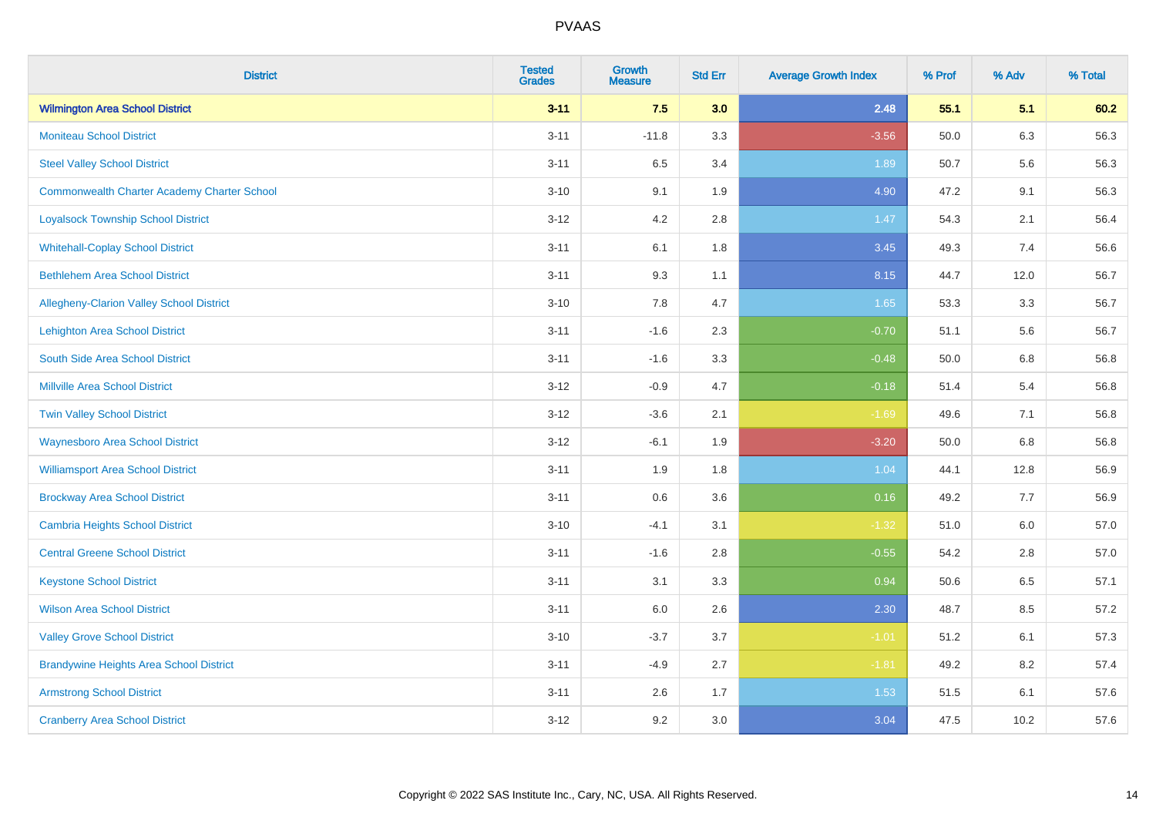| <b>District</b>                                    | <b>Tested</b><br><b>Grades</b> | <b>Growth</b><br><b>Measure</b> | <b>Std Err</b> | <b>Average Growth Index</b> | % Prof | % Adv   | % Total |
|----------------------------------------------------|--------------------------------|---------------------------------|----------------|-----------------------------|--------|---------|---------|
| <b>Wilmington Area School District</b>             | $3 - 11$                       | 7.5                             | 3.0            | 2.48                        | 55.1   | 5.1     | 60.2    |
| <b>Moniteau School District</b>                    | $3 - 11$                       | $-11.8$                         | 3.3            | $-3.56$                     | 50.0   | 6.3     | 56.3    |
| <b>Steel Valley School District</b>                | $3 - 11$                       | 6.5                             | 3.4            | 1.89                        | 50.7   | 5.6     | 56.3    |
| <b>Commonwealth Charter Academy Charter School</b> | $3 - 10$                       | 9.1                             | 1.9            | 4.90                        | 47.2   | 9.1     | 56.3    |
| <b>Loyalsock Township School District</b>          | $3 - 12$                       | 4.2                             | 2.8            | 1.47                        | 54.3   | 2.1     | 56.4    |
| <b>Whitehall-Coplay School District</b>            | $3 - 11$                       | 6.1                             | 1.8            | 3.45                        | 49.3   | 7.4     | 56.6    |
| <b>Bethlehem Area School District</b>              | $3 - 11$                       | 9.3                             | 1.1            | 8.15                        | 44.7   | 12.0    | 56.7    |
| <b>Allegheny-Clarion Valley School District</b>    | $3 - 10$                       | 7.8                             | 4.7            | 1.65                        | 53.3   | 3.3     | 56.7    |
| <b>Lehighton Area School District</b>              | $3 - 11$                       | $-1.6$                          | 2.3            | $-0.70$                     | 51.1   | 5.6     | 56.7    |
| South Side Area School District                    | $3 - 11$                       | $-1.6$                          | 3.3            | $-0.48$                     | 50.0   | 6.8     | 56.8    |
| <b>Millville Area School District</b>              | $3 - 12$                       | $-0.9$                          | 4.7            | $-0.18$                     | 51.4   | 5.4     | 56.8    |
| <b>Twin Valley School District</b>                 | $3 - 12$                       | $-3.6$                          | 2.1            | $-1.69$                     | 49.6   | 7.1     | 56.8    |
| <b>Waynesboro Area School District</b>             | $3 - 12$                       | $-6.1$                          | 1.9            | $-3.20$                     | 50.0   | $6.8\,$ | 56.8    |
| <b>Williamsport Area School District</b>           | $3 - 11$                       | 1.9                             | 1.8            | 1.04                        | 44.1   | 12.8    | 56.9    |
| <b>Brockway Area School District</b>               | $3 - 11$                       | 0.6                             | 3.6            | 0.16                        | 49.2   | 7.7     | 56.9    |
| Cambria Heights School District                    | $3 - 10$                       | $-4.1$                          | 3.1            | $-1.32$                     | 51.0   | $6.0\,$ | 57.0    |
| <b>Central Greene School District</b>              | $3 - 11$                       | $-1.6$                          | 2.8            | $-0.55$                     | 54.2   | 2.8     | 57.0    |
| <b>Keystone School District</b>                    | $3 - 11$                       | 3.1                             | 3.3            | 0.94                        | 50.6   | 6.5     | 57.1    |
| <b>Wilson Area School District</b>                 | $3 - 11$                       | 6.0                             | 2.6            | 2.30                        | 48.7   | 8.5     | 57.2    |
| <b>Valley Grove School District</b>                | $3 - 10$                       | $-3.7$                          | 3.7            | $-1.01$                     | 51.2   | 6.1     | 57.3    |
| <b>Brandywine Heights Area School District</b>     | $3 - 11$                       | $-4.9$                          | 2.7            | $-1.81$                     | 49.2   | 8.2     | 57.4    |
| <b>Armstrong School District</b>                   | $3 - 11$                       | 2.6                             | 1.7            | 1.53                        | 51.5   | 6.1     | 57.6    |
| <b>Cranberry Area School District</b>              | $3-12$                         | 9.2                             | 3.0            | 3.04                        | 47.5   | 10.2    | 57.6    |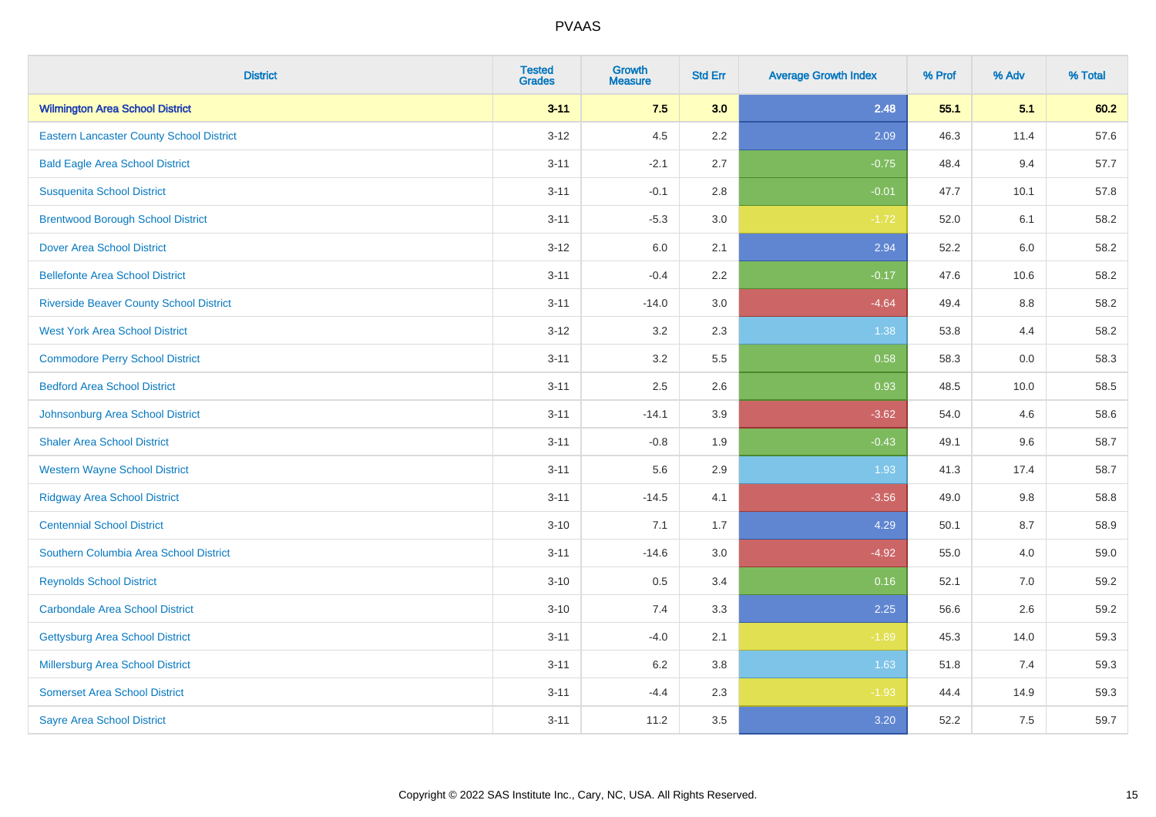| <b>District</b>                                 | <b>Tested</b><br><b>Grades</b> | <b>Growth</b><br><b>Measure</b> | <b>Std Err</b> | <b>Average Growth Index</b> | % Prof | % Adv | % Total |
|-------------------------------------------------|--------------------------------|---------------------------------|----------------|-----------------------------|--------|-------|---------|
| <b>Wilmington Area School District</b>          | $3 - 11$                       | 7.5                             | 3.0            | 2.48                        | 55.1   | 5.1   | 60.2    |
| <b>Eastern Lancaster County School District</b> | $3 - 12$                       | 4.5                             | 2.2            | 2.09                        | 46.3   | 11.4  | 57.6    |
| <b>Bald Eagle Area School District</b>          | $3 - 11$                       | $-2.1$                          | 2.7            | $-0.75$                     | 48.4   | 9.4   | 57.7    |
| <b>Susquenita School District</b>               | $3 - 11$                       | $-0.1$                          | 2.8            | $-0.01$                     | 47.7   | 10.1  | 57.8    |
| <b>Brentwood Borough School District</b>        | $3 - 11$                       | $-5.3$                          | 3.0            | $-1.72$                     | 52.0   | 6.1   | 58.2    |
| <b>Dover Area School District</b>               | $3 - 12$                       | $6.0\,$                         | 2.1            | 2.94                        | 52.2   | 6.0   | 58.2    |
| <b>Bellefonte Area School District</b>          | $3 - 11$                       | $-0.4$                          | 2.2            | $-0.17$                     | 47.6   | 10.6  | 58.2    |
| <b>Riverside Beaver County School District</b>  | $3 - 11$                       | $-14.0$                         | 3.0            | $-4.64$                     | 49.4   | 8.8   | 58.2    |
| <b>West York Area School District</b>           | $3 - 12$                       | 3.2                             | 2.3            | 1.38                        | 53.8   | 4.4   | 58.2    |
| <b>Commodore Perry School District</b>          | $3 - 11$                       | 3.2                             | 5.5            | 0.58                        | 58.3   | 0.0   | 58.3    |
| <b>Bedford Area School District</b>             | $3 - 11$                       | 2.5                             | 2.6            | 0.93                        | 48.5   | 10.0  | 58.5    |
| Johnsonburg Area School District                | $3 - 11$                       | $-14.1$                         | 3.9            | $-3.62$                     | 54.0   | 4.6   | 58.6    |
| <b>Shaler Area School District</b>              | $3 - 11$                       | $-0.8$                          | 1.9            | $-0.43$                     | 49.1   | 9.6   | 58.7    |
| <b>Western Wayne School District</b>            | $3 - 11$                       | 5.6                             | 2.9            | 1.93                        | 41.3   | 17.4  | 58.7    |
| <b>Ridgway Area School District</b>             | $3 - 11$                       | $-14.5$                         | 4.1            | $-3.56$                     | 49.0   | 9.8   | 58.8    |
| <b>Centennial School District</b>               | $3 - 10$                       | 7.1                             | 1.7            | 4.29                        | 50.1   | 8.7   | 58.9    |
| Southern Columbia Area School District          | $3 - 11$                       | $-14.6$                         | 3.0            | $-4.92$                     | 55.0   | 4.0   | 59.0    |
| <b>Reynolds School District</b>                 | $3 - 10$                       | 0.5                             | 3.4            | 0.16                        | 52.1   | 7.0   | 59.2    |
| <b>Carbondale Area School District</b>          | $3 - 10$                       | 7.4                             | 3.3            | 2.25                        | 56.6   | 2.6   | 59.2    |
| <b>Gettysburg Area School District</b>          | $3 - 11$                       | $-4.0$                          | 2.1            | $-1.89$                     | 45.3   | 14.0  | 59.3    |
| Millersburg Area School District                | $3 - 11$                       | 6.2                             | 3.8            | 1.63                        | 51.8   | 7.4   | 59.3    |
| <b>Somerset Area School District</b>            | $3 - 11$                       | $-4.4$                          | 2.3            | $-1.93$                     | 44.4   | 14.9  | 59.3    |
| <b>Sayre Area School District</b>               | $3 - 11$                       | 11.2                            | 3.5            | 3.20                        | 52.2   | 7.5   | 59.7    |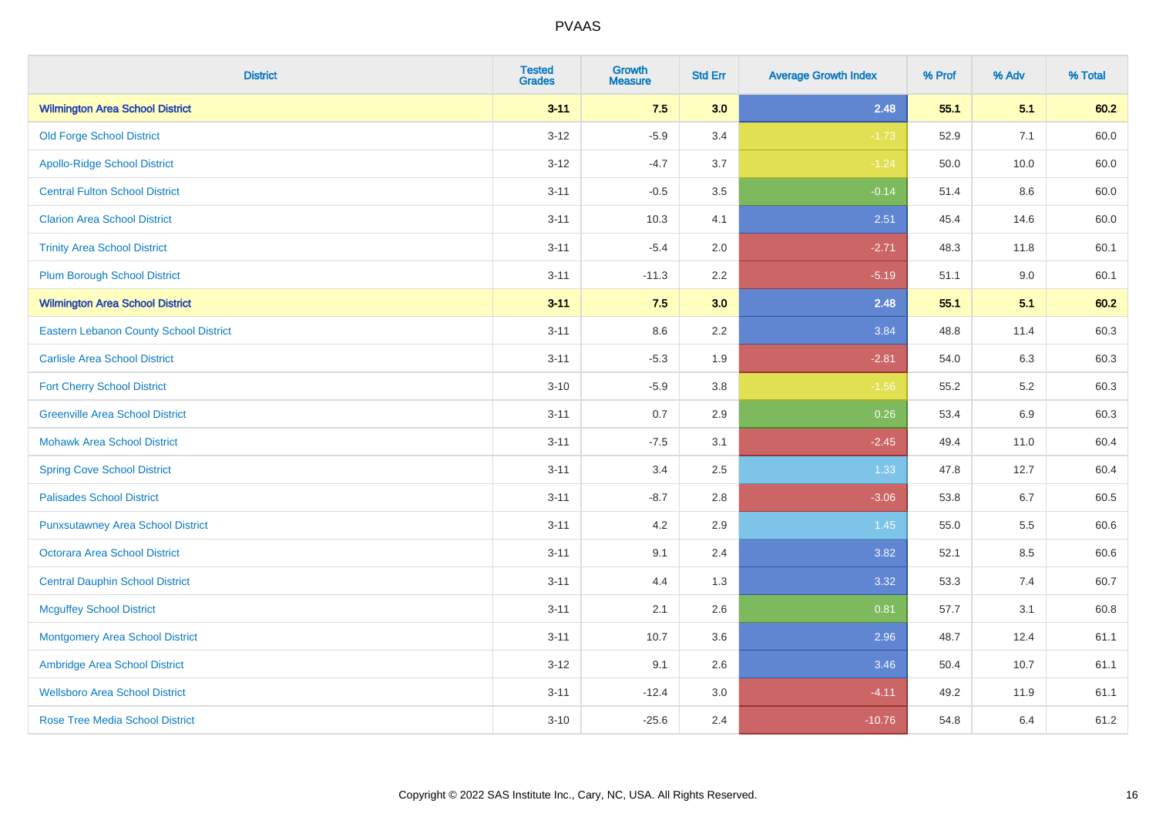| <b>District</b>                               | <b>Tested</b><br><b>Grades</b> | <b>Growth</b><br><b>Measure</b> | <b>Std Err</b> | <b>Average Growth Index</b> | % Prof | % Adv   | % Total |
|-----------------------------------------------|--------------------------------|---------------------------------|----------------|-----------------------------|--------|---------|---------|
| <b>Wilmington Area School District</b>        | $3 - 11$                       | 7.5                             | 3.0            | 2.48                        | 55.1   | 5.1     | 60.2    |
| <b>Old Forge School District</b>              | $3 - 12$                       | $-5.9$                          | 3.4            | $-1.73$                     | 52.9   | 7.1     | 60.0    |
| <b>Apollo-Ridge School District</b>           | $3-12$                         | $-4.7$                          | 3.7            | $-1.24$                     | 50.0   | 10.0    | 60.0    |
| <b>Central Fulton School District</b>         | $3 - 11$                       | $-0.5$                          | 3.5            | $-0.14$                     | 51.4   | 8.6     | 60.0    |
| <b>Clarion Area School District</b>           | $3 - 11$                       | 10.3                            | 4.1            | 2.51                        | 45.4   | 14.6    | 60.0    |
| <b>Trinity Area School District</b>           | $3 - 11$                       | $-5.4$                          | 2.0            | $-2.71$                     | 48.3   | 11.8    | 60.1    |
| <b>Plum Borough School District</b>           | $3 - 11$                       | $-11.3$                         | 2.2            | $-5.19$                     | 51.1   | $9.0\,$ | 60.1    |
| <b>Wilmington Area School District</b>        | $3 - 11$                       | 7.5                             | 3.0            | 2.48                        | 55.1   | 5.1     | 60.2    |
| <b>Eastern Lebanon County School District</b> | $3 - 11$                       | 8.6                             | 2.2            | 3.84                        | 48.8   | 11.4    | 60.3    |
| <b>Carlisle Area School District</b>          | $3 - 11$                       | $-5.3$                          | 1.9            | $-2.81$                     | 54.0   | 6.3     | 60.3    |
| <b>Fort Cherry School District</b>            | $3 - 10$                       | $-5.9$                          | 3.8            | $-1.56$                     | 55.2   | $5.2\,$ | 60.3    |
| <b>Greenville Area School District</b>        | $3 - 11$                       | 0.7                             | 2.9            | 0.26                        | 53.4   | 6.9     | 60.3    |
| <b>Mohawk Area School District</b>            | $3 - 11$                       | $-7.5$                          | 3.1            | $-2.45$                     | 49.4   | 11.0    | 60.4    |
| <b>Spring Cove School District</b>            | $3 - 11$                       | 3.4                             | 2.5            | 1.33                        | 47.8   | 12.7    | 60.4    |
| <b>Palisades School District</b>              | $3 - 11$                       | $-8.7$                          | 2.8            | $-3.06$                     | 53.8   | 6.7     | 60.5    |
| <b>Punxsutawney Area School District</b>      | $3 - 11$                       | 4.2                             | 2.9            | 1.45                        | 55.0   | 5.5     | 60.6    |
| <b>Octorara Area School District</b>          | $3 - 11$                       | 9.1                             | 2.4            | 3.82                        | 52.1   | 8.5     | 60.6    |
| <b>Central Dauphin School District</b>        | $3 - 11$                       | 4.4                             | 1.3            | 3.32                        | 53.3   | 7.4     | 60.7    |
| <b>Mcguffey School District</b>               | $3 - 11$                       | 2.1                             | 2.6            | 0.81                        | 57.7   | 3.1     | 60.8    |
| <b>Montgomery Area School District</b>        | $3 - 11$                       | 10.7                            | 3.6            | 2.96                        | 48.7   | 12.4    | 61.1    |
| Ambridge Area School District                 | $3 - 12$                       | 9.1                             | 2.6            | 3.46                        | 50.4   | 10.7    | 61.1    |
| <b>Wellsboro Area School District</b>         | $3 - 11$                       | $-12.4$                         | 3.0            | $-4.11$                     | 49.2   | 11.9    | 61.1    |
| <b>Rose Tree Media School District</b>        | $3 - 10$                       | $-25.6$                         | 2.4            | $-10.76$                    | 54.8   | 6.4     | 61.2    |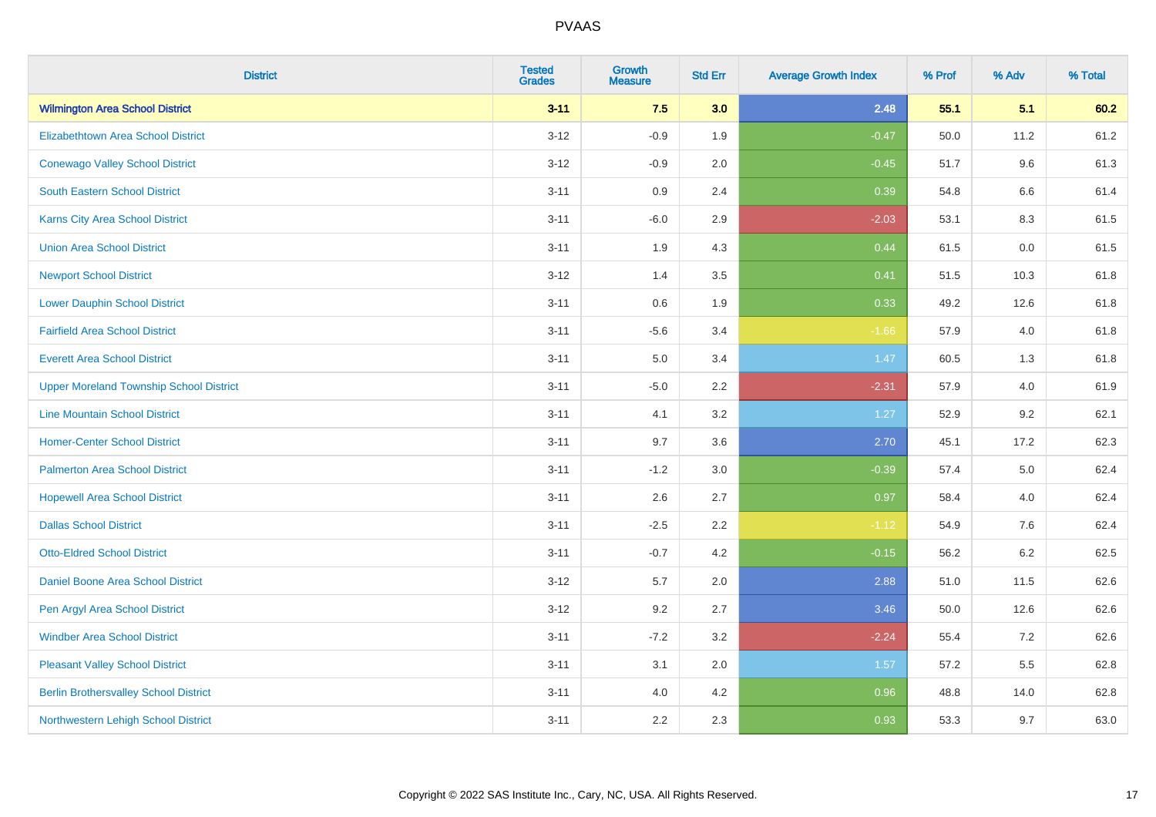| <b>District</b>                                | <b>Tested</b><br><b>Grades</b> | <b>Growth</b><br><b>Measure</b> | <b>Std Err</b> | <b>Average Growth Index</b> | % Prof | % Adv   | % Total |
|------------------------------------------------|--------------------------------|---------------------------------|----------------|-----------------------------|--------|---------|---------|
| <b>Wilmington Area School District</b>         | $3 - 11$                       | 7.5                             | 3.0            | 2.48                        | 55.1   | 5.1     | 60.2    |
| <b>Elizabethtown Area School District</b>      | $3 - 12$                       | $-0.9$                          | 1.9            | $-0.47$                     | 50.0   | 11.2    | 61.2    |
| <b>Conewago Valley School District</b>         | $3 - 12$                       | $-0.9$                          | 2.0            | $-0.45$                     | 51.7   | 9.6     | 61.3    |
| South Eastern School District                  | $3 - 11$                       | 0.9                             | 2.4            | 0.39                        | 54.8   | 6.6     | 61.4    |
| <b>Karns City Area School District</b>         | $3 - 11$                       | $-6.0$                          | 2.9            | $-2.03$                     | 53.1   | 8.3     | 61.5    |
| <b>Union Area School District</b>              | $3 - 11$                       | 1.9                             | 4.3            | 0.44                        | 61.5   | 0.0     | 61.5    |
| <b>Newport School District</b>                 | $3 - 12$                       | 1.4                             | 3.5            | 0.41                        | 51.5   | 10.3    | 61.8    |
| <b>Lower Dauphin School District</b>           | $3 - 11$                       | $0.6\,$                         | 1.9            | 0.33                        | 49.2   | 12.6    | 61.8    |
| <b>Fairfield Area School District</b>          | $3 - 11$                       | $-5.6$                          | 3.4            | $-1.66$                     | 57.9   | 4.0     | 61.8    |
| <b>Everett Area School District</b>            | $3 - 11$                       | 5.0                             | 3.4            | 1.47                        | 60.5   | 1.3     | 61.8    |
| <b>Upper Moreland Township School District</b> | $3 - 11$                       | $-5.0$                          | 2.2            | $-2.31$                     | 57.9   | 4.0     | 61.9    |
| <b>Line Mountain School District</b>           | $3 - 11$                       | 4.1                             | 3.2            | 1.27                        | 52.9   | 9.2     | 62.1    |
| <b>Homer-Center School District</b>            | $3 - 11$                       | 9.7                             | 3.6            | 2.70                        | 45.1   | 17.2    | 62.3    |
| <b>Palmerton Area School District</b>          | $3 - 11$                       | $-1.2$                          | 3.0            | $-0.39$                     | 57.4   | 5.0     | 62.4    |
| <b>Hopewell Area School District</b>           | $3 - 11$                       | 2.6                             | 2.7            | 0.97                        | 58.4   | 4.0     | 62.4    |
| <b>Dallas School District</b>                  | $3 - 11$                       | $-2.5$                          | 2.2            | $-1.12$                     | 54.9   | 7.6     | 62.4    |
| <b>Otto-Eldred School District</b>             | $3 - 11$                       | $-0.7$                          | 4.2            | $-0.15$                     | 56.2   | $6.2\,$ | 62.5    |
| <b>Daniel Boone Area School District</b>       | $3 - 12$                       | 5.7                             | 2.0            | 2.88                        | 51.0   | 11.5    | 62.6    |
| Pen Argyl Area School District                 | $3 - 12$                       | 9.2                             | 2.7            | 3.46                        | 50.0   | 12.6    | 62.6    |
| <b>Windber Area School District</b>            | $3 - 11$                       | $-7.2$                          | 3.2            | $-2.24$                     | 55.4   | 7.2     | 62.6    |
| <b>Pleasant Valley School District</b>         | $3 - 11$                       | 3.1                             | 2.0            | 1.57                        | 57.2   | 5.5     | 62.8    |
| <b>Berlin Brothersvalley School District</b>   | $3 - 11$                       | 4.0                             | 4.2            | 0.96                        | 48.8   | 14.0    | 62.8    |
| Northwestern Lehigh School District            | $3 - 11$                       | 2.2                             | 2.3            | 0.93                        | 53.3   | 9.7     | 63.0    |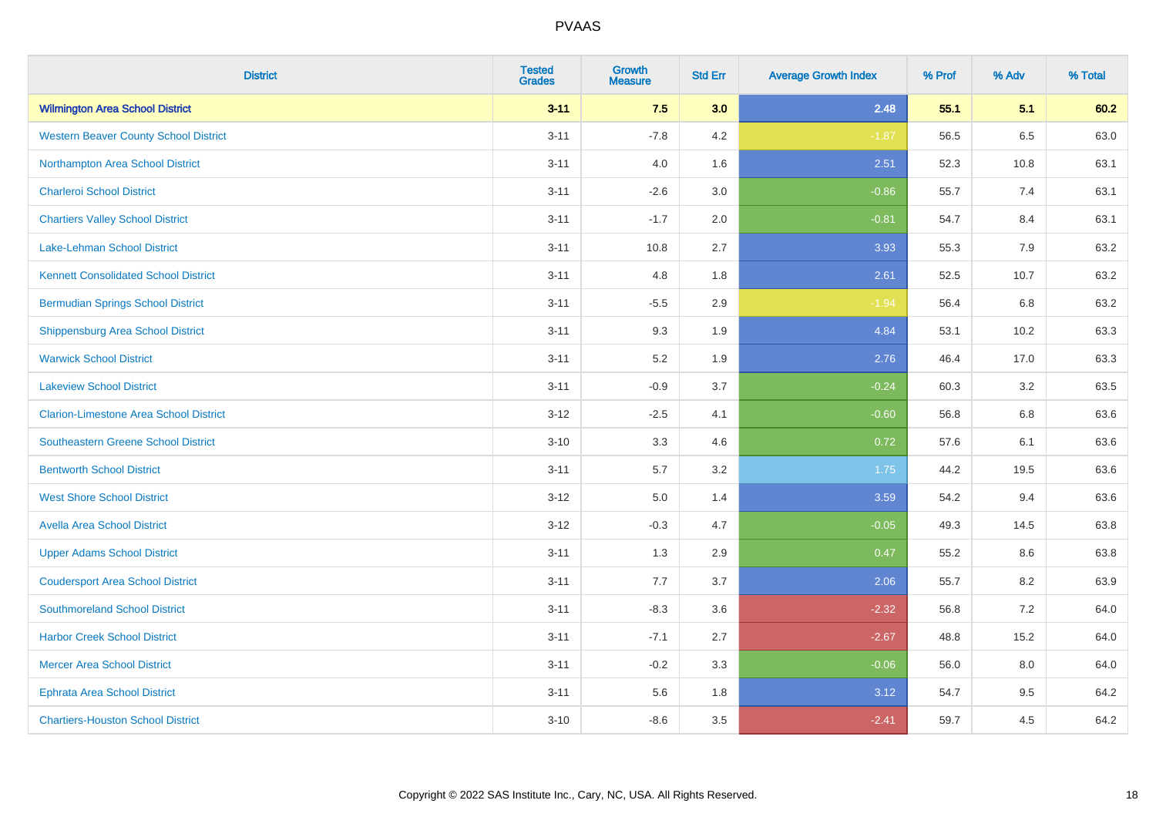| <b>District</b>                               | <b>Tested</b><br><b>Grades</b> | <b>Growth</b><br><b>Measure</b> | <b>Std Err</b> | <b>Average Growth Index</b> | % Prof | % Adv | % Total |
|-----------------------------------------------|--------------------------------|---------------------------------|----------------|-----------------------------|--------|-------|---------|
| <b>Wilmington Area School District</b>        | $3 - 11$                       | 7.5                             | 3.0            | 2.48                        | 55.1   | 5.1   | 60.2    |
| <b>Western Beaver County School District</b>  | $3 - 11$                       | $-7.8$                          | 4.2            | $-1.87$                     | 56.5   | 6.5   | 63.0    |
| Northampton Area School District              | $3 - 11$                       | 4.0                             | 1.6            | 2.51                        | 52.3   | 10.8  | 63.1    |
| <b>Charleroi School District</b>              | $3 - 11$                       | $-2.6$                          | 3.0            | $-0.86$                     | 55.7   | 7.4   | 63.1    |
| <b>Chartiers Valley School District</b>       | $3 - 11$                       | $-1.7$                          | 2.0            | $-0.81$                     | 54.7   | 8.4   | 63.1    |
| <b>Lake-Lehman School District</b>            | $3 - 11$                       | 10.8                            | 2.7            | 3.93                        | 55.3   | 7.9   | 63.2    |
| <b>Kennett Consolidated School District</b>   | $3 - 11$                       | 4.8                             | 1.8            | 2.61                        | 52.5   | 10.7  | 63.2    |
| <b>Bermudian Springs School District</b>      | $3 - 11$                       | $-5.5$                          | 2.9            | $-1.94$                     | 56.4   | 6.8   | 63.2    |
| <b>Shippensburg Area School District</b>      | $3 - 11$                       | 9.3                             | 1.9            | 4.84                        | 53.1   | 10.2  | 63.3    |
| <b>Warwick School District</b>                | $3 - 11$                       | 5.2                             | 1.9            | 2.76                        | 46.4   | 17.0  | 63.3    |
| <b>Lakeview School District</b>               | $3 - 11$                       | $-0.9$                          | 3.7            | $-0.24$                     | 60.3   | 3.2   | 63.5    |
| <b>Clarion-Limestone Area School District</b> | $3 - 12$                       | $-2.5$                          | 4.1            | $-0.60$                     | 56.8   | 6.8   | 63.6    |
| Southeastern Greene School District           | $3 - 10$                       | 3.3                             | 4.6            | 0.72                        | 57.6   | 6.1   | 63.6    |
| <b>Bentworth School District</b>              | $3 - 11$                       | 5.7                             | 3.2            | 1.75                        | 44.2   | 19.5  | 63.6    |
| <b>West Shore School District</b>             | $3 - 12$                       | 5.0                             | 1.4            | 3.59                        | 54.2   | 9.4   | 63.6    |
| <b>Avella Area School District</b>            | $3 - 12$                       | $-0.3$                          | 4.7            | $-0.05$                     | 49.3   | 14.5  | 63.8    |
| <b>Upper Adams School District</b>            | $3 - 11$                       | 1.3                             | 2.9            | 0.47                        | 55.2   | 8.6   | 63.8    |
| <b>Coudersport Area School District</b>       | $3 - 11$                       | 7.7                             | 3.7            | 2.06                        | 55.7   | 8.2   | 63.9    |
| <b>Southmoreland School District</b>          | $3 - 11$                       | $-8.3$                          | 3.6            | $-2.32$                     | 56.8   | 7.2   | 64.0    |
| <b>Harbor Creek School District</b>           | $3 - 11$                       | $-7.1$                          | 2.7            | $-2.67$                     | 48.8   | 15.2  | 64.0    |
| <b>Mercer Area School District</b>            | $3 - 11$                       | $-0.2$                          | 3.3            | $-0.06$                     | 56.0   | 8.0   | 64.0    |
| <b>Ephrata Area School District</b>           | $3 - 11$                       | 5.6                             | 1.8            | 3.12                        | 54.7   | 9.5   | 64.2    |
| <b>Chartiers-Houston School District</b>      | $3 - 10$                       | $-8.6$                          | 3.5            | $-2.41$                     | 59.7   | 4.5   | 64.2    |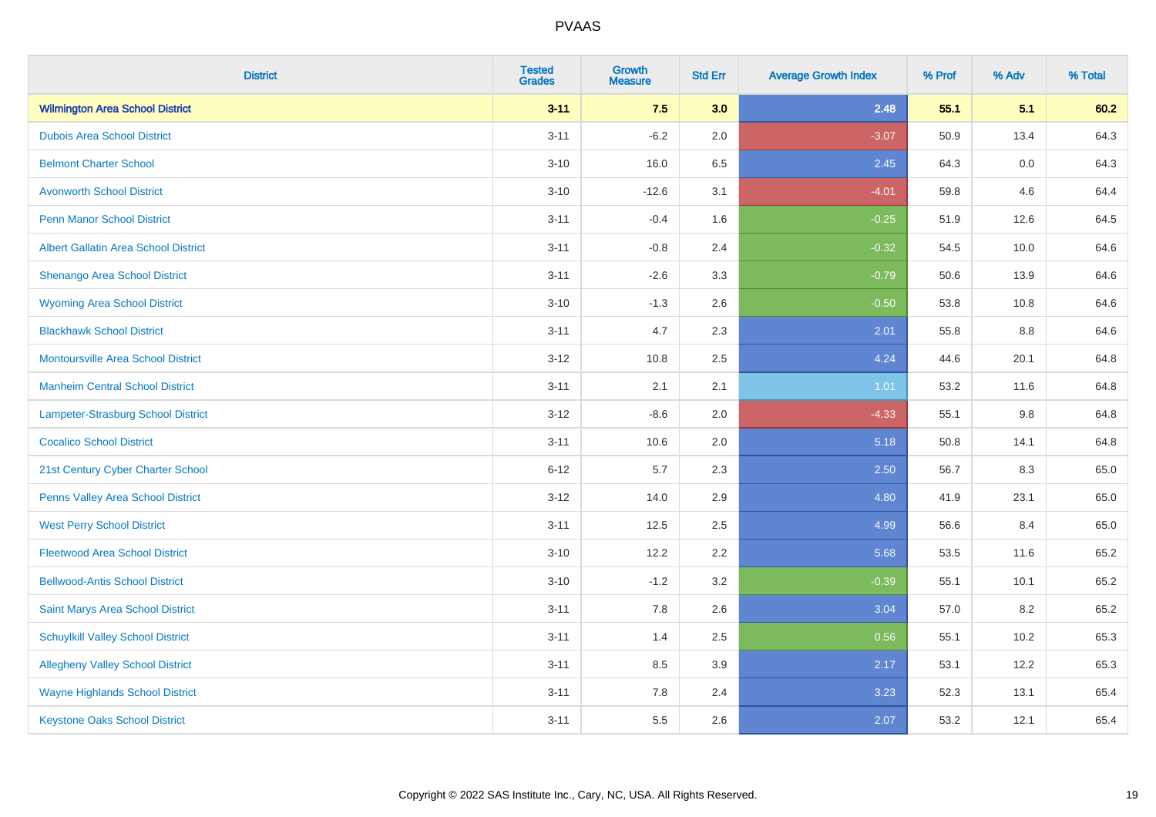| <b>District</b>                             | <b>Tested</b><br><b>Grades</b> | <b>Growth</b><br><b>Measure</b> | <b>Std Err</b> | <b>Average Growth Index</b> | % Prof | % Adv   | % Total |
|---------------------------------------------|--------------------------------|---------------------------------|----------------|-----------------------------|--------|---------|---------|
| <b>Wilmington Area School District</b>      | $3 - 11$                       | 7.5                             | 3.0            | 2.48                        | 55.1   | 5.1     | 60.2    |
| <b>Dubois Area School District</b>          | $3 - 11$                       | $-6.2$                          | 2.0            | $-3.07$                     | 50.9   | 13.4    | 64.3    |
| <b>Belmont Charter School</b>               | $3 - 10$                       | 16.0                            | 6.5            | 2.45                        | 64.3   | 0.0     | 64.3    |
| <b>Avonworth School District</b>            | $3 - 10$                       | $-12.6$                         | 3.1            | $-4.01$                     | 59.8   | 4.6     | 64.4    |
| <b>Penn Manor School District</b>           | $3 - 11$                       | $-0.4$                          | 1.6            | $-0.25$                     | 51.9   | 12.6    | 64.5    |
| <b>Albert Gallatin Area School District</b> | $3 - 11$                       | $-0.8$                          | 2.4            | $-0.32$                     | 54.5   | 10.0    | 64.6    |
| Shenango Area School District               | $3 - 11$                       | $-2.6$                          | 3.3            | $-0.79$                     | 50.6   | 13.9    | 64.6    |
| <b>Wyoming Area School District</b>         | $3 - 10$                       | $-1.3$                          | 2.6            | $-0.50$                     | 53.8   | 10.8    | 64.6    |
| <b>Blackhawk School District</b>            | $3 - 11$                       | 4.7                             | 2.3            | 2.01                        | 55.8   | 8.8     | 64.6    |
| <b>Montoursville Area School District</b>   | $3-12$                         | 10.8                            | 2.5            | 4.24                        | 44.6   | 20.1    | 64.8    |
| <b>Manheim Central School District</b>      | $3 - 11$                       | 2.1                             | 2.1            | 1.01                        | 53.2   | 11.6    | 64.8    |
| Lampeter-Strasburg School District          | $3 - 12$                       | $-8.6$                          | 2.0            | $-4.33$                     | 55.1   | $9.8\,$ | 64.8    |
| <b>Cocalico School District</b>             | $3 - 11$                       | 10.6                            | 2.0            | 5.18                        | 50.8   | 14.1    | 64.8    |
| 21st Century Cyber Charter School           | $6 - 12$                       | 5.7                             | 2.3            | 2.50                        | 56.7   | 8.3     | 65.0    |
| Penns Valley Area School District           | $3-12$                         | 14.0                            | 2.9            | 4.80                        | 41.9   | 23.1    | 65.0    |
| <b>West Perry School District</b>           | $3 - 11$                       | 12.5                            | 2.5            | 4.99                        | 56.6   | 8.4     | 65.0    |
| <b>Fleetwood Area School District</b>       | $3 - 10$                       | 12.2                            | 2.2            | 5.68                        | 53.5   | 11.6    | 65.2    |
| <b>Bellwood-Antis School District</b>       | $3 - 10$                       | $-1.2$                          | 3.2            | $-0.39$                     | 55.1   | 10.1    | 65.2    |
| Saint Marys Area School District            | $3 - 11$                       | 7.8                             | 2.6            | 3.04                        | 57.0   | 8.2     | 65.2    |
| <b>Schuylkill Valley School District</b>    | $3 - 11$                       | 1.4                             | 2.5            | 0.56                        | 55.1   | 10.2    | 65.3    |
| <b>Allegheny Valley School District</b>     | $3 - 11$                       | 8.5                             | 3.9            | 2.17                        | 53.1   | 12.2    | 65.3    |
| <b>Wayne Highlands School District</b>      | $3 - 11$                       | 7.8                             | 2.4            | 3.23                        | 52.3   | 13.1    | 65.4    |
| <b>Keystone Oaks School District</b>        | $3 - 11$                       | 5.5                             | 2.6            | 2.07                        | 53.2   | 12.1    | 65.4    |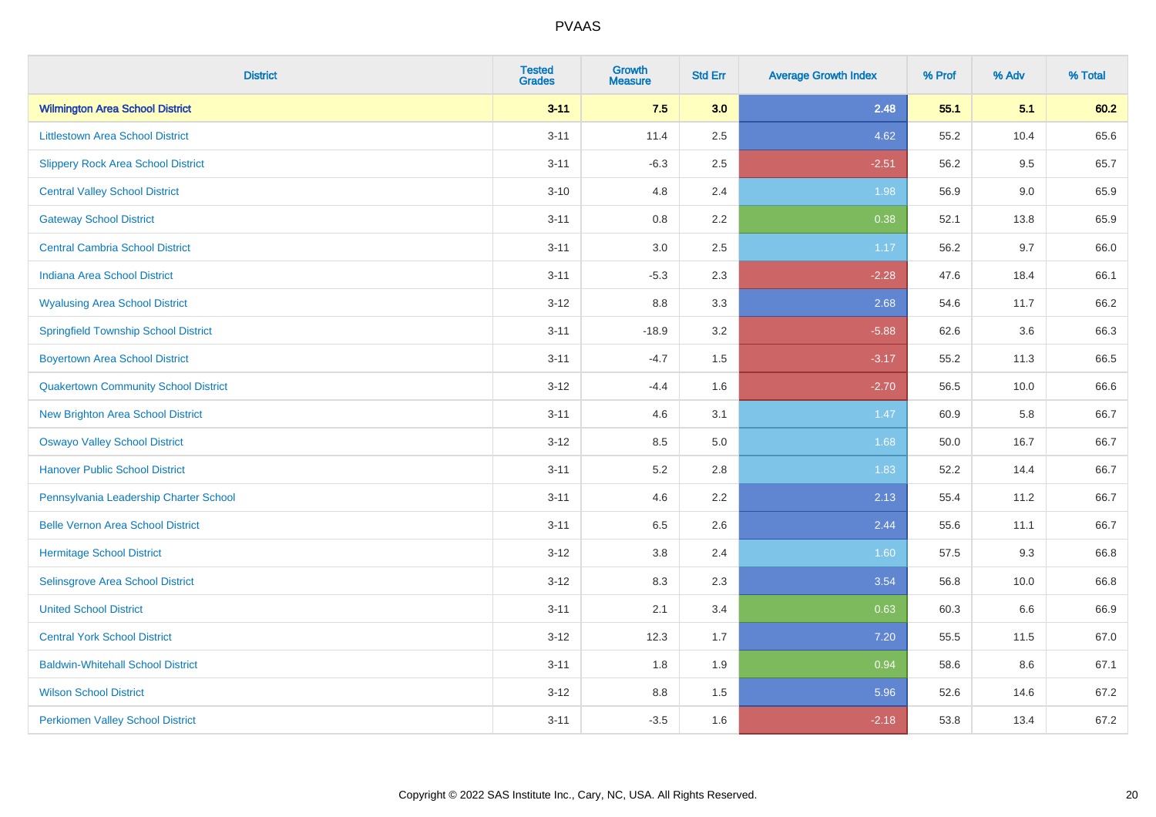| <b>District</b>                             | <b>Tested</b><br><b>Grades</b> | <b>Growth</b><br><b>Measure</b> | <b>Std Err</b> | <b>Average Growth Index</b> | % Prof | % Adv | % Total |
|---------------------------------------------|--------------------------------|---------------------------------|----------------|-----------------------------|--------|-------|---------|
| <b>Wilmington Area School District</b>      | $3 - 11$                       | 7.5                             | 3.0            | 2.48                        | 55.1   | 5.1   | 60.2    |
| <b>Littlestown Area School District</b>     | $3 - 11$                       | 11.4                            | 2.5            | 4.62                        | 55.2   | 10.4  | 65.6    |
| <b>Slippery Rock Area School District</b>   | $3 - 11$                       | $-6.3$                          | 2.5            | $-2.51$                     | 56.2   | 9.5   | 65.7    |
| <b>Central Valley School District</b>       | $3 - 10$                       | 4.8                             | 2.4            | 1.98                        | 56.9   | 9.0   | 65.9    |
| <b>Gateway School District</b>              | $3 - 11$                       | 0.8                             | 2.2            | 0.38                        | 52.1   | 13.8  | 65.9    |
| <b>Central Cambria School District</b>      | $3 - 11$                       | $3.0\,$                         | 2.5            | 1.17                        | 56.2   | 9.7   | 66.0    |
| Indiana Area School District                | $3 - 11$                       | $-5.3$                          | 2.3            | $-2.28$                     | 47.6   | 18.4  | 66.1    |
| <b>Wyalusing Area School District</b>       | $3 - 12$                       | 8.8                             | 3.3            | 2.68                        | 54.6   | 11.7  | 66.2    |
| <b>Springfield Township School District</b> | $3 - 11$                       | $-18.9$                         | 3.2            | $-5.88$                     | 62.6   | 3.6   | 66.3    |
| <b>Boyertown Area School District</b>       | $3 - 11$                       | $-4.7$                          | 1.5            | $-3.17$                     | 55.2   | 11.3  | 66.5    |
| <b>Quakertown Community School District</b> | $3-12$                         | $-4.4$                          | 1.6            | $-2.70$                     | 56.5   | 10.0  | 66.6    |
| <b>New Brighton Area School District</b>    | $3 - 11$                       | 4.6                             | 3.1            | 1.47                        | 60.9   | 5.8   | 66.7    |
| <b>Oswayo Valley School District</b>        | $3 - 12$                       | 8.5                             | 5.0            | 1.68                        | 50.0   | 16.7  | 66.7    |
| <b>Hanover Public School District</b>       | $3 - 11$                       | 5.2                             | 2.8            | 1.83                        | 52.2   | 14.4  | 66.7    |
| Pennsylvania Leadership Charter School      | $3 - 11$                       | 4.6                             | 2.2            | 2.13                        | 55.4   | 11.2  | 66.7    |
| <b>Belle Vernon Area School District</b>    | $3 - 11$                       | 6.5                             | 2.6            | 2.44                        | 55.6   | 11.1  | 66.7    |
| <b>Hermitage School District</b>            | $3 - 12$                       | 3.8                             | 2.4            | 1.60                        | 57.5   | 9.3   | 66.8    |
| Selinsgrove Area School District            | $3 - 12$                       | 8.3                             | 2.3            | 3.54                        | 56.8   | 10.0  | 66.8    |
| <b>United School District</b>               | $3 - 11$                       | 2.1                             | 3.4            | 0.63                        | 60.3   | 6.6   | 66.9    |
| <b>Central York School District</b>         | $3 - 12$                       | 12.3                            | 1.7            | 7.20                        | 55.5   | 11.5  | 67.0    |
| <b>Baldwin-Whitehall School District</b>    | $3 - 11$                       | 1.8                             | 1.9            | 0.94                        | 58.6   | 8.6   | 67.1    |
| <b>Wilson School District</b>               | $3 - 12$                       | 8.8                             | 1.5            | 5.96                        | 52.6   | 14.6  | 67.2    |
| <b>Perkiomen Valley School District</b>     | $3 - 11$                       | $-3.5$                          | 1.6            | $-2.18$                     | 53.8   | 13.4  | 67.2    |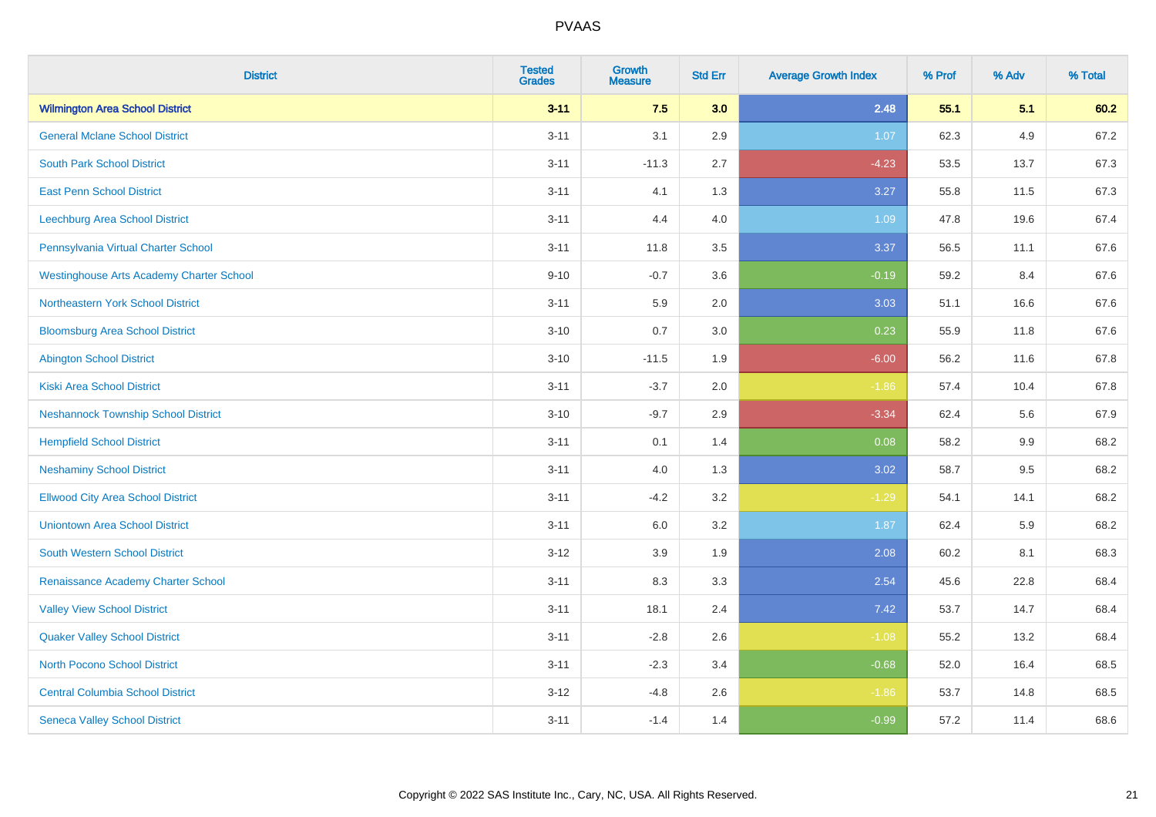| <b>District</b>                                 | <b>Tested</b><br><b>Grades</b> | <b>Growth</b><br><b>Measure</b> | <b>Std Err</b> | <b>Average Growth Index</b> | % Prof | % Adv | % Total |
|-------------------------------------------------|--------------------------------|---------------------------------|----------------|-----------------------------|--------|-------|---------|
| <b>Wilmington Area School District</b>          | $3 - 11$                       | 7.5                             | 3.0            | 2.48                        | 55.1   | 5.1   | 60.2    |
| <b>General Mclane School District</b>           | $3 - 11$                       | 3.1                             | 2.9            | 1.07                        | 62.3   | 4.9   | 67.2    |
| <b>South Park School District</b>               | $3 - 11$                       | $-11.3$                         | 2.7            | $-4.23$                     | 53.5   | 13.7  | 67.3    |
| <b>East Penn School District</b>                | $3 - 11$                       | 4.1                             | 1.3            | 3.27                        | 55.8   | 11.5  | 67.3    |
| Leechburg Area School District                  | $3 - 11$                       | 4.4                             | 4.0            | 1.09                        | 47.8   | 19.6  | 67.4    |
| Pennsylvania Virtual Charter School             | $3 - 11$                       | 11.8                            | 3.5            | 3.37                        | 56.5   | 11.1  | 67.6    |
| <b>Westinghouse Arts Academy Charter School</b> | $9 - 10$                       | $-0.7$                          | 3.6            | $-0.19$                     | 59.2   | 8.4   | 67.6    |
| Northeastern York School District               | $3 - 11$                       | 5.9                             | 2.0            | 3.03                        | 51.1   | 16.6  | 67.6    |
| <b>Bloomsburg Area School District</b>          | $3 - 10$                       | 0.7                             | 3.0            | 0.23                        | 55.9   | 11.8  | 67.6    |
| <b>Abington School District</b>                 | $3 - 10$                       | $-11.5$                         | 1.9            | $-6.00$                     | 56.2   | 11.6  | 67.8    |
| <b>Kiski Area School District</b>               | $3 - 11$                       | $-3.7$                          | 2.0            | $-1.86$                     | 57.4   | 10.4  | 67.8    |
| <b>Neshannock Township School District</b>      | $3 - 10$                       | $-9.7$                          | 2.9            | $-3.34$                     | 62.4   | 5.6   | 67.9    |
| <b>Hempfield School District</b>                | $3 - 11$                       | 0.1                             | 1.4            | 0.08                        | 58.2   | 9.9   | 68.2    |
| <b>Neshaminy School District</b>                | $3 - 11$                       | 4.0                             | 1.3            | 3.02                        | 58.7   | 9.5   | 68.2    |
| <b>Ellwood City Area School District</b>        | $3 - 11$                       | $-4.2$                          | 3.2            | $-1.29$                     | 54.1   | 14.1  | 68.2    |
| <b>Uniontown Area School District</b>           | $3 - 11$                       | 6.0                             | 3.2            | 1.87                        | 62.4   | 5.9   | 68.2    |
| <b>South Western School District</b>            | $3 - 12$                       | 3.9                             | 1.9            | 2.08                        | 60.2   | 8.1   | 68.3    |
| Renaissance Academy Charter School              | $3 - 11$                       | 8.3                             | 3.3            | 2.54                        | 45.6   | 22.8  | 68.4    |
| <b>Valley View School District</b>              | $3 - 11$                       | 18.1                            | 2.4            | 7.42                        | 53.7   | 14.7  | 68.4    |
| <b>Quaker Valley School District</b>            | $3 - 11$                       | $-2.8$                          | 2.6            | $-1.08$                     | 55.2   | 13.2  | 68.4    |
| <b>North Pocono School District</b>             | $3 - 11$                       | $-2.3$                          | 3.4            | $-0.68$                     | 52.0   | 16.4  | 68.5    |
| <b>Central Columbia School District</b>         | $3 - 12$                       | $-4.8$                          | 2.6            | $-1.86$                     | 53.7   | 14.8  | 68.5    |
| <b>Seneca Valley School District</b>            | $3 - 11$                       | $-1.4$                          | 1.4            | $-0.99$                     | 57.2   | 11.4  | 68.6    |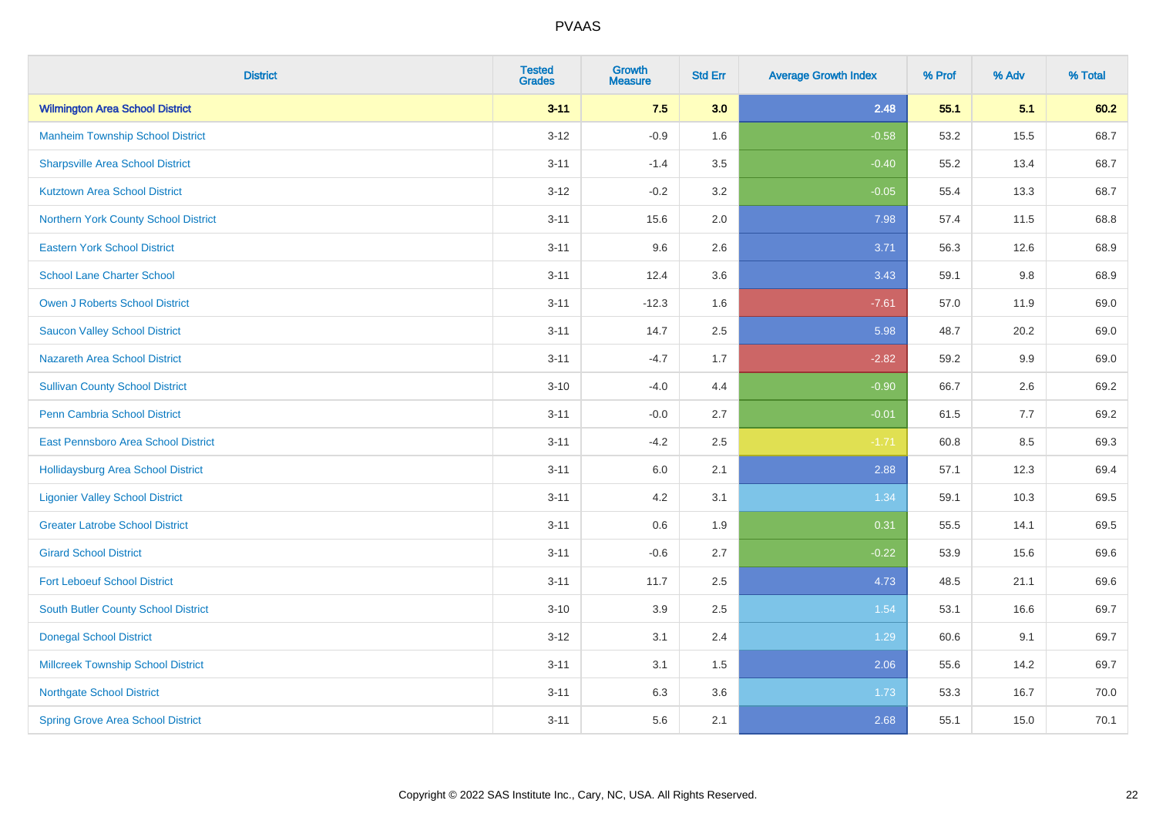| <b>District</b>                            | <b>Tested</b><br><b>Grades</b> | <b>Growth</b><br><b>Measure</b> | <b>Std Err</b> | <b>Average Growth Index</b> | % Prof | % Adv | % Total |
|--------------------------------------------|--------------------------------|---------------------------------|----------------|-----------------------------|--------|-------|---------|
| <b>Wilmington Area School District</b>     | $3 - 11$                       | 7.5                             | 3.0            | 2.48                        | 55.1   | 5.1   | 60.2    |
| <b>Manheim Township School District</b>    | $3 - 12$                       | $-0.9$                          | 1.6            | $-0.58$                     | 53.2   | 15.5  | 68.7    |
| <b>Sharpsville Area School District</b>    | $3 - 11$                       | $-1.4$                          | 3.5            | $-0.40$                     | 55.2   | 13.4  | 68.7    |
| <b>Kutztown Area School District</b>       | $3 - 12$                       | $-0.2$                          | 3.2            | $-0.05$                     | 55.4   | 13.3  | 68.7    |
| Northern York County School District       | $3 - 11$                       | 15.6                            | 2.0            | 7.98                        | 57.4   | 11.5  | 68.8    |
| <b>Eastern York School District</b>        | $3 - 11$                       | 9.6                             | 2.6            | 3.71                        | 56.3   | 12.6  | 68.9    |
| <b>School Lane Charter School</b>          | $3 - 11$                       | 12.4                            | 3.6            | 3.43                        | 59.1   | 9.8   | 68.9    |
| <b>Owen J Roberts School District</b>      | $3 - 11$                       | $-12.3$                         | 1.6            | $-7.61$                     | 57.0   | 11.9  | 69.0    |
| <b>Saucon Valley School District</b>       | $3 - 11$                       | 14.7                            | 2.5            | 5.98                        | 48.7   | 20.2  | 69.0    |
| <b>Nazareth Area School District</b>       | $3 - 11$                       | $-4.7$                          | 1.7            | $-2.82$                     | 59.2   | 9.9   | 69.0    |
| <b>Sullivan County School District</b>     | $3 - 10$                       | $-4.0$                          | 4.4            | $-0.90$                     | 66.7   | 2.6   | 69.2    |
| Penn Cambria School District               | $3 - 11$                       | $-0.0$                          | 2.7            | $-0.01$                     | 61.5   | 7.7   | 69.2    |
| East Pennsboro Area School District        | $3 - 11$                       | $-4.2$                          | 2.5            | $-1.71$                     | 60.8   | 8.5   | 69.3    |
| <b>Hollidaysburg Area School District</b>  | $3 - 11$                       | 6.0                             | 2.1            | 2.88                        | 57.1   | 12.3  | 69.4    |
| <b>Ligonier Valley School District</b>     | $3 - 11$                       | 4.2                             | 3.1            | 1.34                        | 59.1   | 10.3  | 69.5    |
| <b>Greater Latrobe School District</b>     | $3 - 11$                       | 0.6                             | 1.9            | 0.31                        | 55.5   | 14.1  | 69.5    |
| <b>Girard School District</b>              | $3 - 11$                       | $-0.6$                          | 2.7            | $-0.22$                     | 53.9   | 15.6  | 69.6    |
| <b>Fort Leboeuf School District</b>        | $3 - 11$                       | 11.7                            | 2.5            | 4.73                        | 48.5   | 21.1  | 69.6    |
| <b>South Butler County School District</b> | $3 - 10$                       | 3.9                             | 2.5            | 1.54                        | 53.1   | 16.6  | 69.7    |
| <b>Donegal School District</b>             | $3 - 12$                       | 3.1                             | 2.4            | 1.29                        | 60.6   | 9.1   | 69.7    |
| <b>Millcreek Township School District</b>  | $3 - 11$                       | 3.1                             | 1.5            | 2.06                        | 55.6   | 14.2  | 69.7    |
| <b>Northgate School District</b>           | $3 - 11$                       | 6.3                             | 3.6            | 1.73                        | 53.3   | 16.7  | 70.0    |
| <b>Spring Grove Area School District</b>   | $3 - 11$                       | 5.6                             | 2.1            | 2.68                        | 55.1   | 15.0  | 70.1    |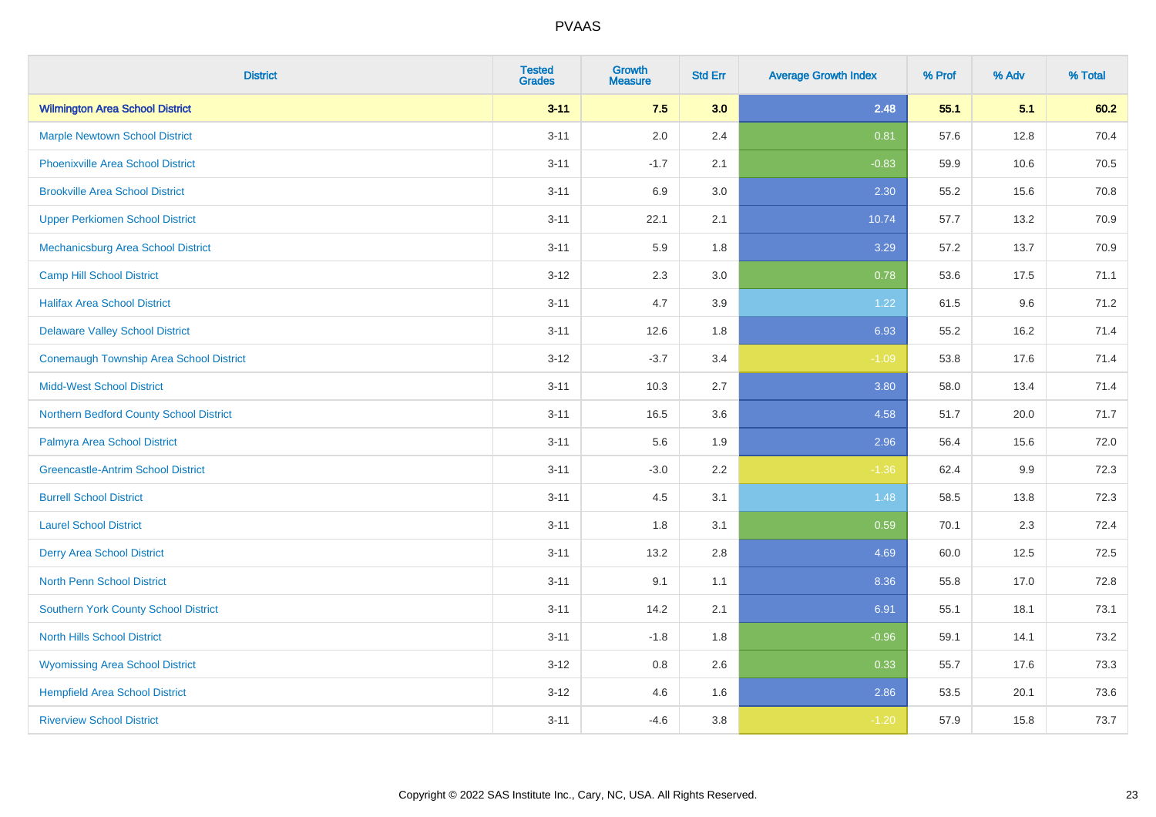| <b>District</b>                                | <b>Tested</b><br><b>Grades</b> | <b>Growth</b><br><b>Measure</b> | <b>Std Err</b> | <b>Average Growth Index</b> | % Prof | % Adv | % Total |
|------------------------------------------------|--------------------------------|---------------------------------|----------------|-----------------------------|--------|-------|---------|
| <b>Wilmington Area School District</b>         | $3 - 11$                       | 7.5                             | 3.0            | 2.48                        | 55.1   | 5.1   | 60.2    |
| <b>Marple Newtown School District</b>          | $3 - 11$                       | 2.0                             | 2.4            | 0.81                        | 57.6   | 12.8  | 70.4    |
| <b>Phoenixville Area School District</b>       | $3 - 11$                       | $-1.7$                          | 2.1            | $-0.83$                     | 59.9   | 10.6  | 70.5    |
| <b>Brookville Area School District</b>         | $3 - 11$                       | 6.9                             | 3.0            | 2.30                        | 55.2   | 15.6  | 70.8    |
| <b>Upper Perkiomen School District</b>         | $3 - 11$                       | 22.1                            | 2.1            | 10.74                       | 57.7   | 13.2  | 70.9    |
| Mechanicsburg Area School District             | $3 - 11$                       | 5.9                             | 1.8            | 3.29                        | 57.2   | 13.7  | 70.9    |
| <b>Camp Hill School District</b>               | $3 - 12$                       | 2.3                             | 3.0            | 0.78                        | 53.6   | 17.5  | 71.1    |
| <b>Halifax Area School District</b>            | $3 - 11$                       | 4.7                             | 3.9            | 1.22                        | 61.5   | 9.6   | 71.2    |
| <b>Delaware Valley School District</b>         | $3 - 11$                       | 12.6                            | 1.8            | 6.93                        | 55.2   | 16.2  | 71.4    |
| <b>Conemaugh Township Area School District</b> | $3 - 12$                       | $-3.7$                          | 3.4            | $-1.09$                     | 53.8   | 17.6  | 71.4    |
| <b>Midd-West School District</b>               | $3 - 11$                       | 10.3                            | 2.7            | 3.80                        | 58.0   | 13.4  | 71.4    |
| Northern Bedford County School District        | $3 - 11$                       | 16.5                            | 3.6            | 4.58                        | 51.7   | 20.0  | 71.7    |
| Palmyra Area School District                   | $3 - 11$                       | 5.6                             | 1.9            | 2.96                        | 56.4   | 15.6  | 72.0    |
| <b>Greencastle-Antrim School District</b>      | $3 - 11$                       | $-3.0$                          | 2.2            | $-1.36$                     | 62.4   | 9.9   | 72.3    |
| <b>Burrell School District</b>                 | $3 - 11$                       | 4.5                             | 3.1            | 1.48                        | 58.5   | 13.8  | 72.3    |
| <b>Laurel School District</b>                  | $3 - 11$                       | 1.8                             | 3.1            | 0.59                        | 70.1   | 2.3   | 72.4    |
| <b>Derry Area School District</b>              | $3 - 11$                       | 13.2                            | 2.8            | 4.69                        | 60.0   | 12.5  | 72.5    |
| <b>North Penn School District</b>              | $3 - 11$                       | 9.1                             | 1.1            | 8.36                        | 55.8   | 17.0  | 72.8    |
| <b>Southern York County School District</b>    | $3 - 11$                       | 14.2                            | 2.1            | 6.91                        | 55.1   | 18.1  | 73.1    |
| <b>North Hills School District</b>             | $3 - 11$                       | $-1.8$                          | 1.8            | $-0.96$                     | 59.1   | 14.1  | 73.2    |
| <b>Wyomissing Area School District</b>         | $3 - 12$                       | 0.8                             | 2.6            | 0.33                        | 55.7   | 17.6  | 73.3    |
| <b>Hempfield Area School District</b>          | $3 - 12$                       | 4.6                             | 1.6            | 2.86                        | 53.5   | 20.1  | 73.6    |
| <b>Riverview School District</b>               | $3 - 11$                       | $-4.6$                          | 3.8            | $-1.20$                     | 57.9   | 15.8  | 73.7    |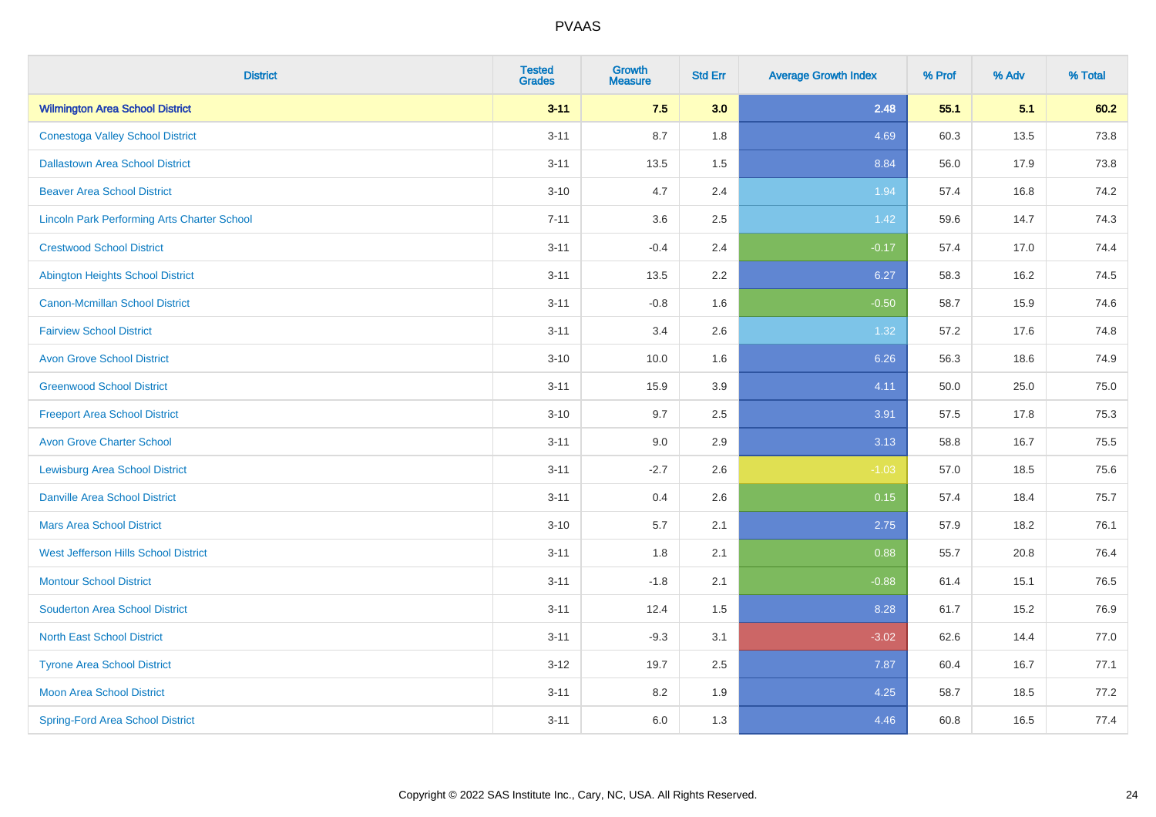| <b>District</b>                                    | <b>Tested</b><br><b>Grades</b> | <b>Growth</b><br><b>Measure</b> | <b>Std Err</b> | <b>Average Growth Index</b> | % Prof | % Adv | % Total |
|----------------------------------------------------|--------------------------------|---------------------------------|----------------|-----------------------------|--------|-------|---------|
| <b>Wilmington Area School District</b>             | $3 - 11$                       | 7.5                             | 3.0            | 2.48                        | 55.1   | 5.1   | 60.2    |
| <b>Conestoga Valley School District</b>            | $3 - 11$                       | 8.7                             | 1.8            | 4.69                        | 60.3   | 13.5  | 73.8    |
| <b>Dallastown Area School District</b>             | $3 - 11$                       | 13.5                            | 1.5            | 8.84                        | 56.0   | 17.9  | 73.8    |
| <b>Beaver Area School District</b>                 | $3 - 10$                       | 4.7                             | 2.4            | 1.94                        | 57.4   | 16.8  | 74.2    |
| <b>Lincoln Park Performing Arts Charter School</b> | $7 - 11$                       | 3.6                             | 2.5            | 1.42                        | 59.6   | 14.7  | 74.3    |
| <b>Crestwood School District</b>                   | $3 - 11$                       | $-0.4$                          | 2.4            | $-0.17$                     | 57.4   | 17.0  | 74.4    |
| <b>Abington Heights School District</b>            | $3 - 11$                       | 13.5                            | 2.2            | 6.27                        | 58.3   | 16.2  | 74.5    |
| <b>Canon-Mcmillan School District</b>              | $3 - 11$                       | $-0.8$                          | 1.6            | $-0.50$                     | 58.7   | 15.9  | 74.6    |
| <b>Fairview School District</b>                    | $3 - 11$                       | 3.4                             | 2.6            | 1.32                        | 57.2   | 17.6  | 74.8    |
| <b>Avon Grove School District</b>                  | $3 - 10$                       | 10.0                            | 1.6            | 6.26                        | 56.3   | 18.6  | 74.9    |
| <b>Greenwood School District</b>                   | $3 - 11$                       | 15.9                            | 3.9            | 4.11                        | 50.0   | 25.0  | 75.0    |
| <b>Freeport Area School District</b>               | $3 - 10$                       | 9.7                             | 2.5            | 3.91                        | 57.5   | 17.8  | 75.3    |
| <b>Avon Grove Charter School</b>                   | $3 - 11$                       | 9.0                             | 2.9            | 3.13                        | 58.8   | 16.7  | 75.5    |
| <b>Lewisburg Area School District</b>              | $3 - 11$                       | $-2.7$                          | 2.6            | $-1.03$                     | 57.0   | 18.5  | 75.6    |
| <b>Danville Area School District</b>               | $3 - 11$                       | 0.4                             | 2.6            | 0.15                        | 57.4   | 18.4  | 75.7    |
| <b>Mars Area School District</b>                   | $3 - 10$                       | 5.7                             | 2.1            | 2.75                        | 57.9   | 18.2  | 76.1    |
| West Jefferson Hills School District               | $3 - 11$                       | 1.8                             | 2.1            | 0.88                        | 55.7   | 20.8  | 76.4    |
| <b>Montour School District</b>                     | $3 - 11$                       | $-1.8$                          | 2.1            | $-0.88$                     | 61.4   | 15.1  | 76.5    |
| <b>Souderton Area School District</b>              | $3 - 11$                       | 12.4                            | 1.5            | 8.28                        | 61.7   | 15.2  | 76.9    |
| <b>North East School District</b>                  | $3 - 11$                       | $-9.3$                          | 3.1            | $-3.02$                     | 62.6   | 14.4  | 77.0    |
| <b>Tyrone Area School District</b>                 | $3-12$                         | 19.7                            | 2.5            | 7.87                        | 60.4   | 16.7  | 77.1    |
| <b>Moon Area School District</b>                   | $3 - 11$                       | 8.2                             | 1.9            | 4.25                        | 58.7   | 18.5  | 77.2    |
| <b>Spring-Ford Area School District</b>            | $3 - 11$                       | 6.0                             | 1.3            | 4.46                        | 60.8   | 16.5  | 77.4    |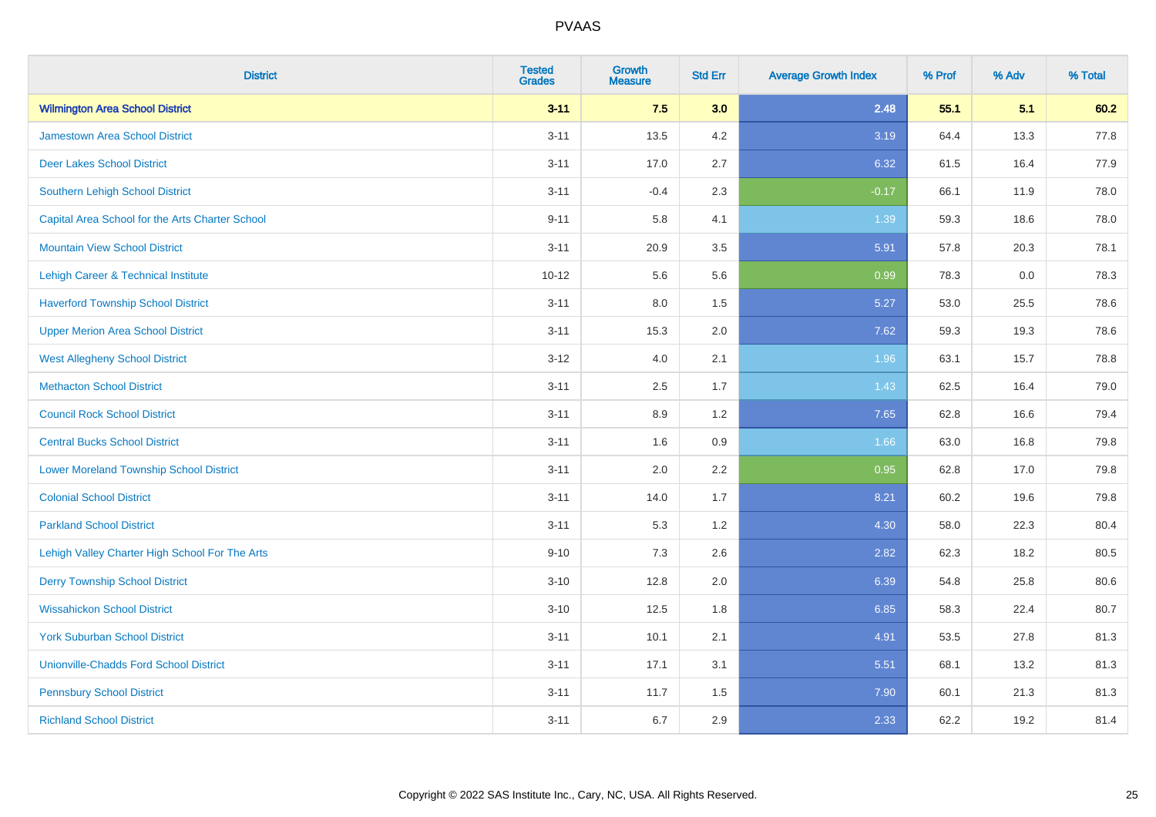| <b>District</b>                                 | <b>Tested</b><br><b>Grades</b> | <b>Growth</b><br><b>Measure</b> | <b>Std Err</b> | <b>Average Growth Index</b> | % Prof | % Adv | % Total |
|-------------------------------------------------|--------------------------------|---------------------------------|----------------|-----------------------------|--------|-------|---------|
| <b>Wilmington Area School District</b>          | $3 - 11$                       | 7.5                             | 3.0            | 2.48                        | 55.1   | 5.1   | 60.2    |
| <b>Jamestown Area School District</b>           | $3 - 11$                       | 13.5                            | 4.2            | 3.19                        | 64.4   | 13.3  | 77.8    |
| <b>Deer Lakes School District</b>               | $3 - 11$                       | 17.0                            | 2.7            | 6.32                        | 61.5   | 16.4  | 77.9    |
| Southern Lehigh School District                 | $3 - 11$                       | $-0.4$                          | 2.3            | $-0.17$                     | 66.1   | 11.9  | 78.0    |
| Capital Area School for the Arts Charter School | $9 - 11$                       | 5.8                             | 4.1            | 1.39                        | 59.3   | 18.6  | 78.0    |
| <b>Mountain View School District</b>            | $3 - 11$                       | 20.9                            | 3.5            | 5.91                        | 57.8   | 20.3  | 78.1    |
| Lehigh Career & Technical Institute             | $10 - 12$                      | 5.6                             | 5.6            | 0.99                        | 78.3   | 0.0   | 78.3    |
| <b>Haverford Township School District</b>       | $3 - 11$                       | 8.0                             | 1.5            | 5.27                        | 53.0   | 25.5  | 78.6    |
| <b>Upper Merion Area School District</b>        | $3 - 11$                       | 15.3                            | 2.0            | 7.62                        | 59.3   | 19.3  | 78.6    |
| <b>West Allegheny School District</b>           | $3 - 12$                       | 4.0                             | 2.1            | 1.96                        | 63.1   | 15.7  | 78.8    |
| <b>Methacton School District</b>                | $3 - 11$                       | 2.5                             | 1.7            | 1.43                        | 62.5   | 16.4  | 79.0    |
| <b>Council Rock School District</b>             | $3 - 11$                       | 8.9                             | 1.2            | 7.65                        | 62.8   | 16.6  | 79.4    |
| <b>Central Bucks School District</b>            | $3 - 11$                       | 1.6                             | 0.9            | 1.66                        | 63.0   | 16.8  | 79.8    |
| <b>Lower Moreland Township School District</b>  | $3 - 11$                       | 2.0                             | 2.2            | 0.95                        | 62.8   | 17.0  | 79.8    |
| <b>Colonial School District</b>                 | $3 - 11$                       | 14.0                            | 1.7            | 8.21                        | 60.2   | 19.6  | 79.8    |
| <b>Parkland School District</b>                 | $3 - 11$                       | 5.3                             | 1.2            | 4.30                        | 58.0   | 22.3  | 80.4    |
| Lehigh Valley Charter High School For The Arts  | $9 - 10$                       | 7.3                             | 2.6            | 2.82                        | 62.3   | 18.2  | 80.5    |
| <b>Derry Township School District</b>           | $3 - 10$                       | 12.8                            | 2.0            | 6.39                        | 54.8   | 25.8  | 80.6    |
| <b>Wissahickon School District</b>              | $3 - 10$                       | 12.5                            | 1.8            | 6.85                        | 58.3   | 22.4  | 80.7    |
| <b>York Suburban School District</b>            | $3 - 11$                       | 10.1                            | 2.1            | 4.91                        | 53.5   | 27.8  | 81.3    |
| <b>Unionville-Chadds Ford School District</b>   | $3 - 11$                       | 17.1                            | 3.1            | 5.51                        | 68.1   | 13.2  | 81.3    |
| <b>Pennsbury School District</b>                | $3 - 11$                       | 11.7                            | 1.5            | 7.90                        | 60.1   | 21.3  | 81.3    |
| <b>Richland School District</b>                 | $3 - 11$                       | 6.7                             | 2.9            | 2.33                        | 62.2   | 19.2  | 81.4    |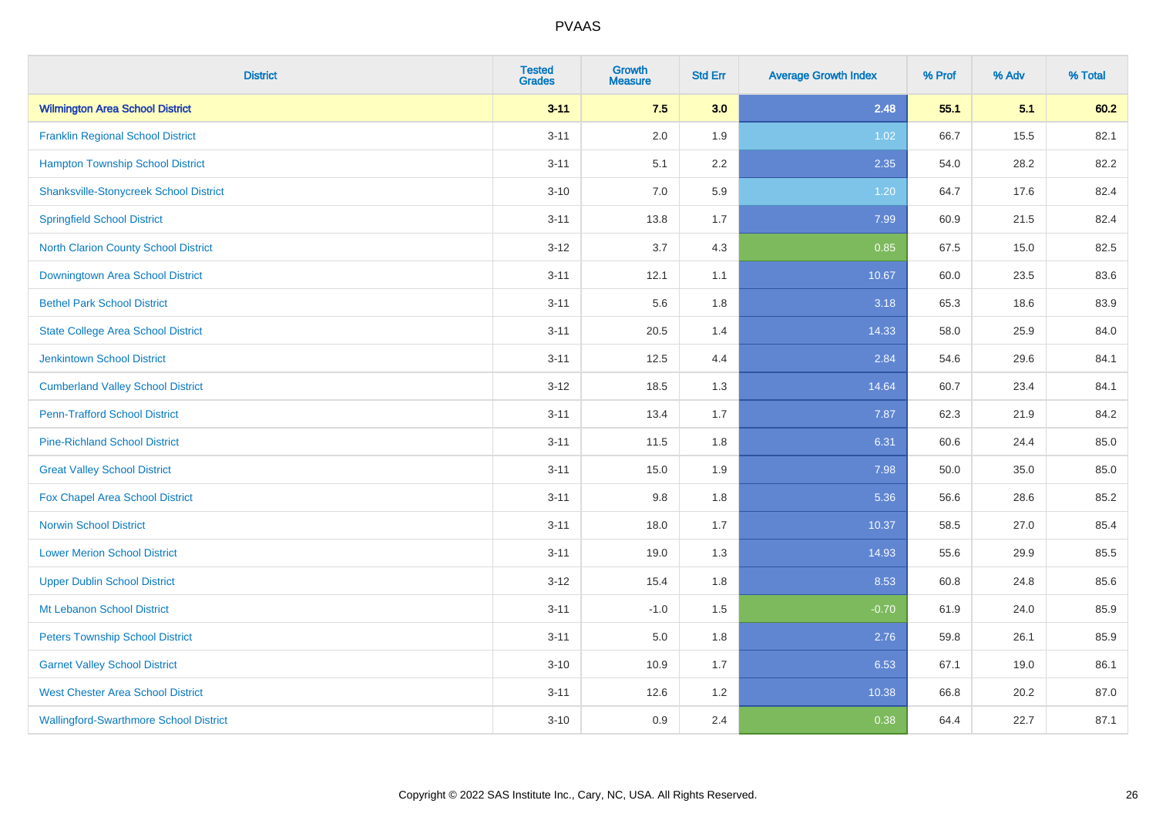| <b>District</b>                               | <b>Tested</b><br><b>Grades</b> | <b>Growth</b><br><b>Measure</b> | <b>Std Err</b> | <b>Average Growth Index</b> | % Prof | % Adv | % Total |
|-----------------------------------------------|--------------------------------|---------------------------------|----------------|-----------------------------|--------|-------|---------|
| <b>Wilmington Area School District</b>        | $3 - 11$                       | 7.5                             | 3.0            | 2.48                        | 55.1   | 5.1   | 60.2    |
| <b>Franklin Regional School District</b>      | $3 - 11$                       | 2.0                             | 1.9            | 1.02                        | 66.7   | 15.5  | 82.1    |
| <b>Hampton Township School District</b>       | $3 - 11$                       | 5.1                             | 2.2            | 2.35                        | 54.0   | 28.2  | 82.2    |
| <b>Shanksville-Stonycreek School District</b> | $3 - 10$                       | 7.0                             | 5.9            | 1.20                        | 64.7   | 17.6  | 82.4    |
| <b>Springfield School District</b>            | $3 - 11$                       | 13.8                            | 1.7            | 7.99                        | 60.9   | 21.5  | 82.4    |
| North Clarion County School District          | $3 - 12$                       | 3.7                             | 4.3            | 0.85                        | 67.5   | 15.0  | 82.5    |
| Downingtown Area School District              | $3 - 11$                       | 12.1                            | 1.1            | 10.67                       | 60.0   | 23.5  | 83.6    |
| <b>Bethel Park School District</b>            | $3 - 11$                       | 5.6                             | 1.8            | 3.18                        | 65.3   | 18.6  | 83.9    |
| <b>State College Area School District</b>     | $3 - 11$                       | 20.5                            | 1.4            | 14.33                       | 58.0   | 25.9  | 84.0    |
| <b>Jenkintown School District</b>             | $3 - 11$                       | 12.5                            | 4.4            | 2.84                        | 54.6   | 29.6  | 84.1    |
| <b>Cumberland Valley School District</b>      | $3 - 12$                       | 18.5                            | 1.3            | 14.64                       | 60.7   | 23.4  | 84.1    |
| <b>Penn-Trafford School District</b>          | $3 - 11$                       | 13.4                            | 1.7            | 7.87                        | 62.3   | 21.9  | 84.2    |
| <b>Pine-Richland School District</b>          | $3 - 11$                       | 11.5                            | 1.8            | 6.31                        | 60.6   | 24.4  | 85.0    |
| <b>Great Valley School District</b>           | $3 - 11$                       | 15.0                            | 1.9            | 7.98                        | 50.0   | 35.0  | 85.0    |
| Fox Chapel Area School District               | $3 - 11$                       | 9.8                             | 1.8            | 5.36                        | 56.6   | 28.6  | 85.2    |
| <b>Norwin School District</b>                 | $3 - 11$                       | 18.0                            | 1.7            | 10.37                       | 58.5   | 27.0  | 85.4    |
| <b>Lower Merion School District</b>           | $3 - 11$                       | 19.0                            | 1.3            | 14.93                       | 55.6   | 29.9  | 85.5    |
| <b>Upper Dublin School District</b>           | $3-12$                         | 15.4                            | 1.8            | 8.53                        | 60.8   | 24.8  | 85.6    |
| Mt Lebanon School District                    | $3 - 11$                       | $-1.0$                          | 1.5            | $-0.70$                     | 61.9   | 24.0  | 85.9    |
| <b>Peters Township School District</b>        | $3 - 11$                       | 5.0                             | 1.8            | 2.76                        | 59.8   | 26.1  | 85.9    |
| <b>Garnet Valley School District</b>          | $3 - 10$                       | 10.9                            | 1.7            | 6.53                        | 67.1   | 19.0  | 86.1    |
| <b>West Chester Area School District</b>      | $3 - 11$                       | 12.6                            | 1.2            | 10.38                       | 66.8   | 20.2  | 87.0    |
| <b>Wallingford-Swarthmore School District</b> | $3 - 10$                       | 0.9                             | 2.4            | 0.38                        | 64.4   | 22.7  | 87.1    |